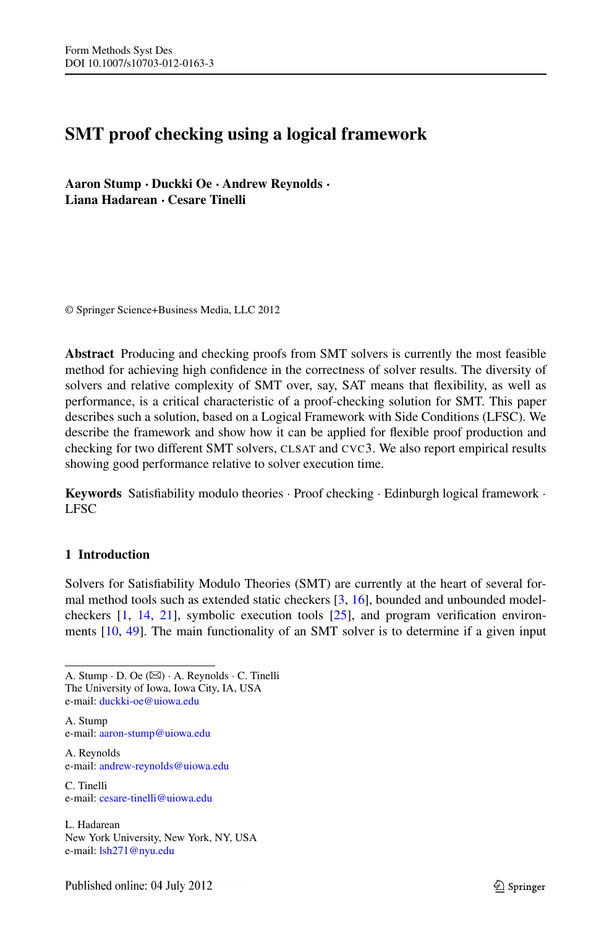# **SMT proof checking using a logical framework**

**Aaron Stump · Duckki Oe · Andrew Reynolds · Liana Hadarean · Cesare Tinelli**

© Springer Science+Business Media, LLC 2012

**Abstract** Producing and checking proofs from SMT solvers is currently the most feasible method for achieving high confidence in the correctness of solver results. The diversity of solvers and relative complexity of SMT over, say, SAT means that flexibility, as well as performance, is a critical characteristic of a proof-checking solution for SMT. This paper describes such a solution, based on a Logical Framework with Side Conditions (LFSC). We describe the framework and show how it can be applied for flexible proof production and checking for two different SMT solvers, CLSAT and CVC3. We also report empirical results showing good performance relative to solver execution time.

**Keywords** Satisfiability modulo theories · Proof checking · Edinburgh logical framework · LFSC

# **1 Introduction**

Solvers for Satisfiability Modulo Theories (SMT) are currently at the heart of several formal method tools such as extended static checkers [[3,](#page-25-0) [16](#page-26-0)], bounded and unbounded modelcheckers [\[1](#page-25-1), [14](#page-26-1), [21](#page-26-2)], symbolic execution tools [[25](#page-26-3)], and program verification environments [[10](#page-26-4), [49](#page-27-0)]. The main functionality of an SMT solver is to determine if a given input

A. Stump · D. Oe  $(\boxtimes)$  · A. Reynolds · C. Tinelli The University of Iowa, Iowa City, IA, USA e-mail: [duckki-oe@uiowa.edu](mailto:duckki-oe@uiowa.edu)

A. Stump e-mail: [aaron-stump@uiowa.edu](mailto:aaron-stump@uiowa.edu)

A. Reynolds e-mail: [andrew-reynolds@uiowa.edu](mailto:andrew-reynolds@uiowa.edu)

C. Tinelli e-mail: [cesare-tinelli@uiowa.edu](mailto:cesare-tinelli@uiowa.edu)

L. Hadarean New York University, New York, NY, USA e-mail: [lsh271@nyu.edu](mailto:lsh271@nyu.edu)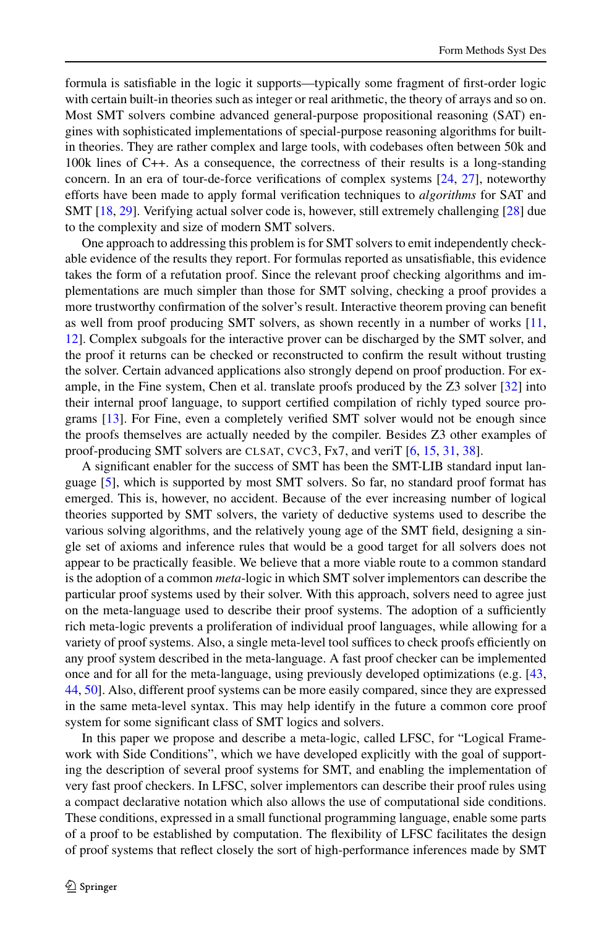formula is satisfiable in the logic it supports—typically some fragment of first-order logic with certain built-in theories such as integer or real arithmetic, the theory of arrays and so on. Most SMT solvers combine advanced general-purpose propositional reasoning (SAT) engines with sophisticated implementations of special-purpose reasoning algorithms for builtin theories. They are rather complex and large tools, with codebases often between 50k and 100k lines of C++. As a consequence, the correctness of their results is a long-standing concern. In an era of tour-de-force verifications of complex systems [[24](#page-26-5), [27](#page-26-6)], noteworthy efforts have been made to apply formal verification techniques to *algorithms* for SAT and SMT [[18](#page-26-7), [29](#page-26-8)]. Verifying actual solver code is, however, still extremely challenging [\[28](#page-26-9)] due to the complexity and size of modern SMT solvers.

One approach to addressing this problem is for SMT solvers to emit independently checkable evidence of the results they report. For formulas reported as unsatisfiable, this evidence takes the form of a refutation proof. Since the relevant proof checking algorithms and implementations are much simpler than those for SMT solving, checking a proof provides a more trustworthy confirmation of the solver's result. Interactive theorem proving can benefit as well from proof producing SMT solvers, as shown recently in a number of works [[11](#page-26-10), [12](#page-26-11)]. Complex subgoals for the interactive prover can be discharged by the SMT solver, and the proof it returns can be checked or reconstructed to confirm the result without trusting the solver. Certain advanced applications also strongly depend on proof production. For example, in the Fine system, Chen et al. translate proofs produced by the Z3 solver [\[32\]](#page-27-1) into their internal proof language, to support certified compilation of richly typed source programs [\[13\]](#page-26-12). For Fine, even a completely verified SMT solver would not be enough since the proofs themselves are actually needed by the compiler. Besides Z3 other examples of proof-producing SMT solvers are CLSAT, CVC3, Fx7, and veriT [\[6](#page-25-2), [15](#page-26-13), [31,](#page-26-14) [38\]](#page-27-2).

A significant enabler for the success of SMT has been the SMT-LIB standard input language [[5](#page-25-3)], which is supported by most SMT solvers. So far, no standard proof format has emerged. This is, however, no accident. Because of the ever increasing number of logical theories supported by SMT solvers, the variety of deductive systems used to describe the various solving algorithms, and the relatively young age of the SMT field, designing a single set of axioms and inference rules that would be a good target for all solvers does not appear to be practically feasible. We believe that a more viable route to a common standard is the adoption of a common *meta*-logic in which SMT solver implementors can describe the particular proof systems used by their solver. With this approach, solvers need to agree just on the meta-language used to describe their proof systems. The adoption of a sufficiently rich meta-logic prevents a proliferation of individual proof languages, while allowing for a variety of proof systems. Also, a single meta-level tool suffices to check proofs efficiently on any proof system described in the meta-language. A fast proof checker can be implemented once and for all for the meta-language, using previously developed optimizations (e.g. [[43](#page-27-3), [44](#page-27-4), [50](#page-27-5)]. Also, different proof systems can be more easily compared, since they are expressed in the same meta-level syntax. This may help identify in the future a common core proof system for some significant class of SMT logics and solvers.

In this paper we propose and describe a meta-logic, called LFSC, for "Logical Framework with Side Conditions", which we have developed explicitly with the goal of supporting the description of several proof systems for SMT, and enabling the implementation of very fast proof checkers. In LFSC, solver implementors can describe their proof rules using a compact declarative notation which also allows the use of computational side conditions. These conditions, expressed in a small functional programming language, enable some parts of a proof to be established by computation. The flexibility of LFSC facilitates the design of proof systems that reflect closely the sort of high-performance inferences made by SMT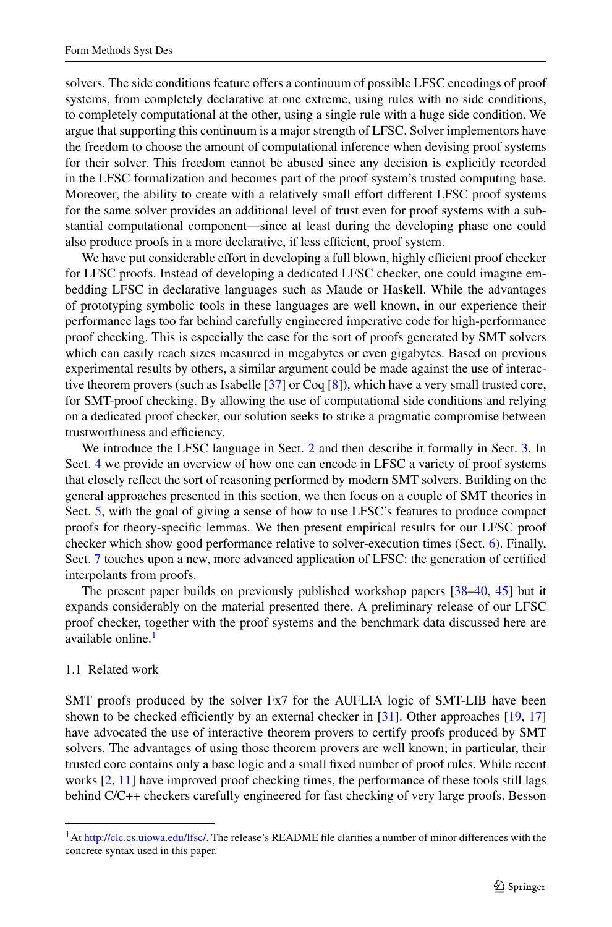solvers. The side conditions feature offers a continuum of possible LFSC encodings of proof systems, from completely declarative at one extreme, using rules with no side conditions, to completely computational at the other, using a single rule with a huge side condition. We argue that supporting this continuum is a major strength of LFSC. Solver implementors have the freedom to choose the amount of computational inference when devising proof systems for their solver. This freedom cannot be abused since any decision is explicitly recorded in the LFSC formalization and becomes part of the proof system's trusted computing base. Moreover, the ability to create with a relatively small effort different LFSC proof systems for the same solver provides an additional level of trust even for proof systems with a substantial computational component—since at least during the developing phase one could also produce proofs in a more declarative, if less efficient, proof system.

We have put considerable effort in developing a full blown, highly efficient proof checker for LFSC proofs. Instead of developing a dedicated LFSC checker, one could imagine embedding LFSC in declarative languages such as Maude or Haskell. While the advantages of prototyping symbolic tools in these languages are well known, in our experience their performance lags too far behind carefully engineered imperative code for high-performance proof checking. This is especially the case for the sort of proofs generated by SMT solvers which can easily reach sizes measured in megabytes or even gigabytes. Based on previous experimental results by others, a similar argument could be made against the use of interactive theorem provers (such as Isabelle [[37](#page-27-6)] or Coq [\[8](#page-26-15)]), which have a very small trusted core, for SMT-proof checking. By allowing the use of computational side conditions and relying on a dedicated proof checker, our solution seeks to strike a pragmatic compromise between trustworthiness and efficiency.

We introduce the LFSC language in Sect. [2](#page-3-0) and then describe it formally in Sect. [3](#page-4-0). In Sect. [4](#page-7-0) we provide an overview of how one can encode in LFSC a variety of proof systems that closely reflect the sort of reasoning performed by modern SMT solvers. Building on the general approaches presented in this section, we then focus on a couple of SMT theories in Sect. [5,](#page-14-0) with the goal of giving a sense of how to use LFSC's features to produce compact proofs for theory-specific lemmas. We then present empirical results for our LFSC proof checker which show good performance relative to solver-execution times (Sect. [6\)](#page-17-0). Finally, Sect. [7](#page-21-0) touches upon a new, more advanced application of LFSC: the generation of certified interpolants from proofs.

The present paper builds on previously published workshop papers [[38–](#page-27-2)[40](#page-27-7), [45](#page-27-8)] but it expands considerably on the material presented there. A preliminary release of our LFSC proof checker, together with the proof systems and the benchmark data discussed here are available online.<sup>[1](#page-2-0)</sup>

#### 1.1 Related work

<span id="page-2-0"></span>SMT proofs produced by the solver Fx7 for the AUFLIA logic of SMT-LIB have been shown to be checked efficiently by an external checker in  $[31]$ . Other approaches  $[19, 17]$  $[19, 17]$  $[19, 17]$  $[19, 17]$ have advocated the use of interactive theorem provers to certify proofs produced by SMT solvers. The advantages of using those theorem provers are well known; in particular, their trusted core contains only a base logic and a small fixed number of proof rules. While recent works [\[2](#page-25-4), [11](#page-26-10)] have improved proof checking times, the performance of these tools still lags behind C/C++ checkers carefully engineered for fast checking of very large proofs. Besson

<sup>&</sup>lt;sup>1</sup>At <http://clc.cs.uiowa.edu/lfsc/>. The release's README file clarifies a number of minor differences with the concrete syntax used in this paper.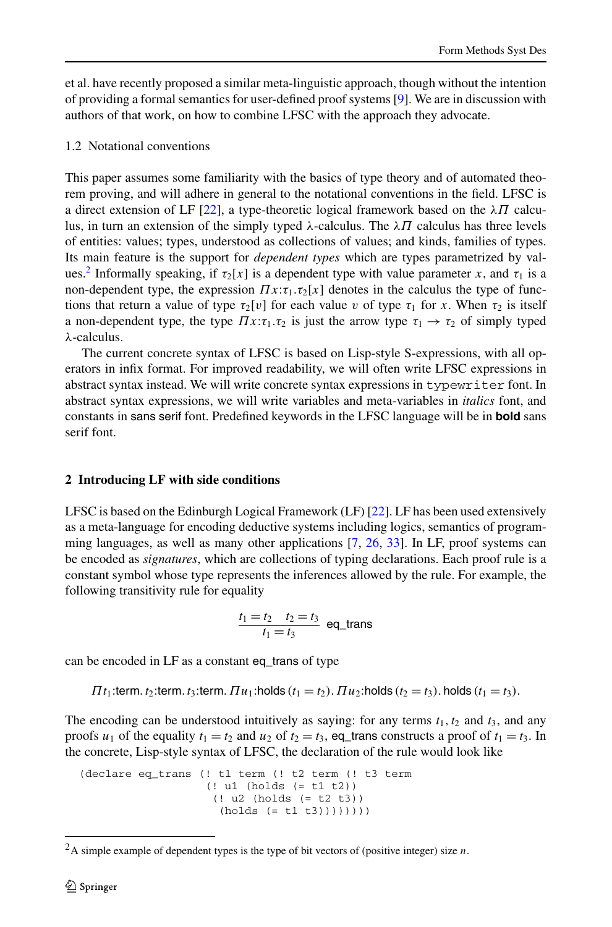et al. have recently proposed a similar meta-linguistic approach, though without the intention of providing a formal semantics for user-defined proof systems [[9](#page-26-18)]. We are in discussion with authors of that work, on how to combine LFSC with the approach they advocate.

## 1.2 Notational conventions

This paper assumes some familiarity with the basics of type theory and of automated theorem proving, and will adhere in general to the notational conventions in the field. LFSC is a direct extension of LF [\[22\]](#page-26-19), a type-theoretic logical framework based on the *λΠ* calculus, in turn an extension of the simply typed *λ*-calculus. The *λΠ* calculus has three levels of entities: values; types, understood as collections of values; and kinds, families of types. Its main feature is the support for *dependent types* which are types parametrized by val-ues.<sup>[2](#page-3-1)</sup> Informally speaking, if  $\tau_2[x]$  is a dependent type with value parameter *x*, and  $\tau_1$  is a non-dependent type, the expression  $\Pi x$ :*τ*<sub>1</sub>.*τ*<sub>2</sub>[*x*] denotes in the calculus the type of functions that return a value of type  $\tau_2[v]$  for each value *v* of type  $\tau_1$  for *x*. When  $\tau_2$  is itself a non-dependent type, the type  $\Pi x : \tau_1 \cdot \tau_2$  is just the arrow type  $\tau_1 \rightarrow \tau_2$  of simply typed *λ*-calculus.

<span id="page-3-0"></span>The current concrete syntax of LFSC is based on Lisp-style S-expressions, with all operators in infix format. For improved readability, we will often write LFSC expressions in abstract syntax instead. We will write concrete syntax expressions in typewriter font. In abstract syntax expressions, we will write variables and meta-variables in *italics* font, and constants in sans serif font. Predefined keywords in the LFSC language will be in **bold** sans serif font.

# **2 Introducing LF with side conditions**

LFSC is based on the Edinburgh Logical Framework (LF) [[22](#page-26-19)]. LF has been used extensively as a meta-language for encoding deductive systems including logics, semantics of program-ming languages, as well as many other applications [[7](#page-25-5), [26](#page-26-20), [33](#page-27-9)]. In LF, proof systems can be encoded as *signatures*, which are collections of typing declarations. Each proof rule is a constant symbol whose type represents the inferences allowed by the rule. For example, the following transitivity rule for equality

$$
\frac{t_1 = t_2 \quad t_2 = t_3}{t_1 = t_3}
$$
 eq\_trans

can be encoded in LF as a constant eq\_trans of type

 $\Pi t_1$ :term.  $t_2$ :term.  $t_3$ :term.  $\Pi u_1$ :holds  $(t_1 = t_2)$ .  $\Pi u_2$ :holds  $(t_2 = t_3)$ . holds  $(t_1 = t_3)$ .

<span id="page-3-1"></span>The encoding can be understood intuitively as saying: for any terms  $t_1, t_2$  and  $t_3$ , and any proofs  $u_1$  of the equality  $t_1 = t_2$  and  $u_2$  of  $t_2 = t_3$ , eq\_trans constructs a proof of  $t_1 = t_3$ . In the concrete, Lisp-style syntax of LFSC, the declaration of the rule would look like

```
(declare eq_trans (! t1 term (! t2 term (! t3 term
                   (! u1 (holds (= t1 t2))
                    (! u2 (holds (= t2 t3))
                     (holds (= t1 t3))))))))
```
<sup>2</sup>A simple example of dependent types is the type of bit vectors of (positive integer) size *n*.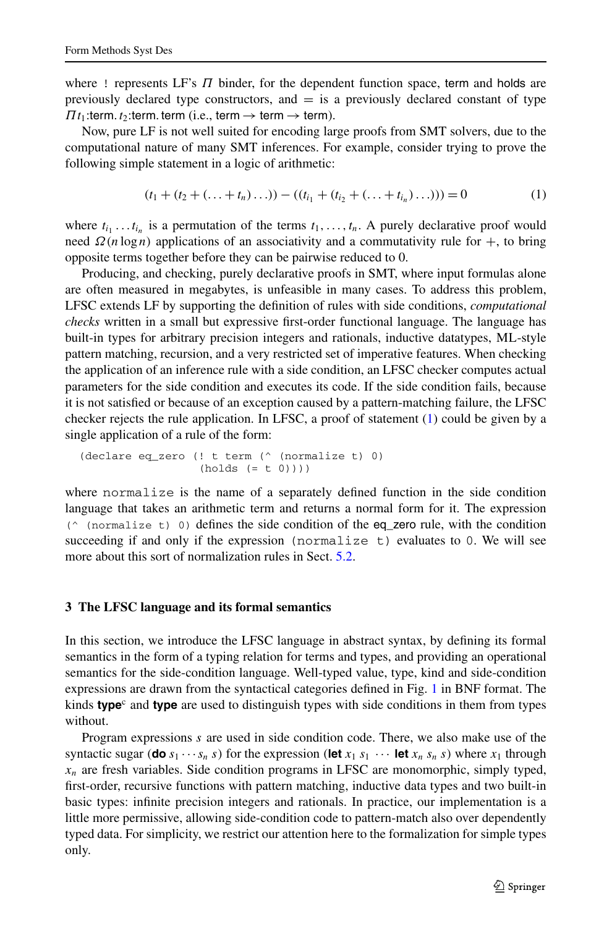where ! represents LF's *Π* binder, for the dependent function space, term and holds are previously declared type constructors, and  $=$  is a previously declared constant of type  $\prod t_1$ :term.  $t_2$ :term. term (i.e., term  $\rightarrow$  term  $\rightarrow$  term).

Now, pure LF is not well suited for encoding large proofs from SMT solvers, due to the computational nature of many SMT inferences. For example, consider trying to prove the following simple statement in a logic of arithmetic:

<span id="page-4-1"></span>
$$
(t_1 + (t_2 + (\dots + t_n) \dots)) - ((t_{i_1} + (t_{i_2} + (\dots + t_{i_n}) \dots))) = 0
$$
 (1)

where  $t_{i_1} \ldots t_{i_n}$  is a permutation of the terms  $t_1, \ldots, t_n$ . A purely declarative proof would need  $\Omega(n \log n)$  applications of an associativity and a commutativity rule for  $+$ , to bring opposite terms together before they can be pairwise reduced to 0.

Producing, and checking, purely declarative proofs in SMT, where input formulas alone are often measured in megabytes, is unfeasible in many cases. To address this problem, LFSC extends LF by supporting the definition of rules with side conditions, *computational checks* written in a small but expressive first-order functional language. The language has built-in types for arbitrary precision integers and rationals, inductive datatypes, ML-style pattern matching, recursion, and a very restricted set of imperative features. When checking the application of an inference rule with a side condition, an LFSC checker computes actual parameters for the side condition and executes its code. If the side condition fails, because it is not satisfied or because of an exception caused by a pattern-matching failure, the LFSC checker rejects the rule application. In LFSC, a proof of statement ([1](#page-4-1)) could be given by a single application of a rule of the form:

```
(declare eq_zero (! t term (^ (normalize t) 0)
                  (holds (= t 0)))
```
<span id="page-4-0"></span>where normalize is the name of a separately defined function in the side condition language that takes an arithmetic term and returns a normal form for it. The expression  $($   $($   $($   $normalize t)$   $)$  defines the side condition of the eq\_zero rule, with the condition succeeding if and only if the expression (normalize  $t$ ) evaluates to 0. We will see more about this sort of normalization rules in Sect. [5.2](#page-15-0).

#### **3 The LFSC language and its formal semantics**

In this section, we introduce the LFSC language in abstract syntax, by defining its formal semantics in the form of a typing relation for terms and types, and providing an operational semantics for the side-condition language. Well-typed value, type, kind and side-condition expressions are drawn from the syntactical categories defined in Fig. [1](#page-5-0) in BNF format. The kinds **type**<sup>c</sup> and **type** are used to distinguish types with side conditions in them from types without.

Program expressions *s* are used in side condition code. There, we also make use of the syntactic sugar (**do**  $s_1 \cdots s_n$  *s*) for the expression (let  $x_1 s_1 \cdots$  let  $x_n s_n s$ ) where  $x_1$  through  $x_n$  are fresh variables. Side condition programs in LFSC are monomorphic, simply typed, first-order, recursive functions with pattern matching, inductive data types and two built-in basic types: infinite precision integers and rationals. In practice, our implementation is a little more permissive, allowing side-condition code to pattern-match also over dependently typed data. For simplicity, we restrict our attention here to the formalization for simple types only.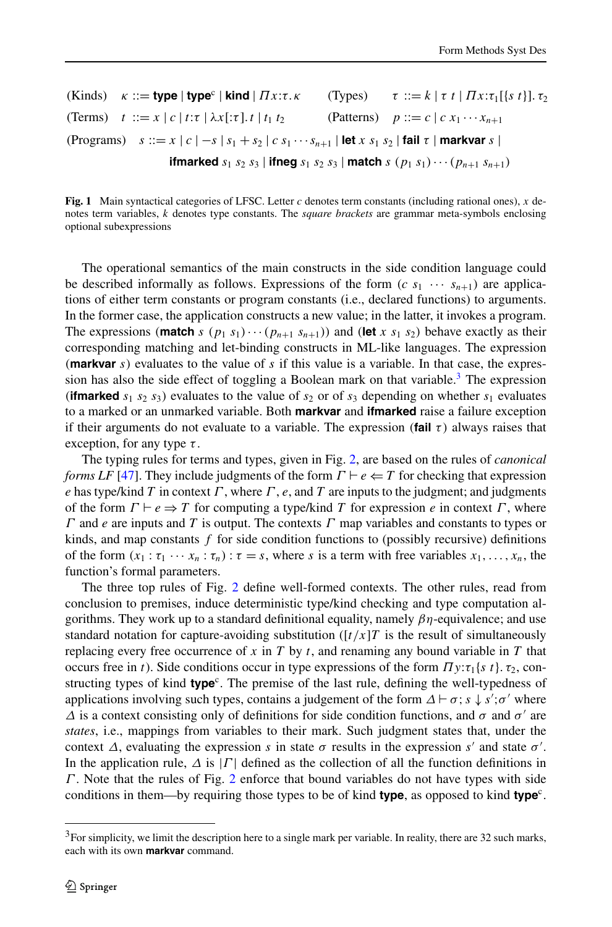<span id="page-5-0"></span>(Kinds) 
$$
\kappa ::=
$$
 type | type  $\vert$  kind |  $\Pi x:\tau.\kappa$  (Types)  $\tau ::= k \vert \tau t \vert \Pi x:\tau_1[\lbrace s \ t \rbrace].\tau_2$   
\n(Terms)  $t ::= x \vert c \vert t:\tau \vert \lambda x[\tau].t \vert t_1 t_2$  (Patterns)  $p ::= c \vert c \ x_1 \cdots x_{n+1}$   
\n(Programs)  $s ::= x \vert c \vert -s \vert s_1 + s_2 \vert c \ s_1 \cdots s_{n+1} \vert$  let  $x \ s_1 \ s_2 \vert$  fail  $\tau \vert$  markvar  $s \vert$   
\n**ifmarked**  $s_1 \ s_2 \ s_3 \vert$  **ifneg**  $s_1 \ s_2 \ s_3 \vert$  match  $s \ (p_1 \ s_1) \cdots (p_{n+1} \ s_{n+1})$ 

**Fig. 1** Main syntactical categories of LFSC. Letter *c* denotes term constants (including rational ones), *x* denotes term variables, *k* denotes type constants. The *square brackets* are grammar meta-symbols enclosing optional subexpressions

The operational semantics of the main constructs in the side condition language could be described informally as follows. Expressions of the form  $(c s_1 \cdots s_{n+1})$  are applications of either term constants or program constants (i.e., declared functions) to arguments. In the former case, the application constructs a new value; in the latter, it invokes a program. The expressions (**match** *s* ( $p_1$   $s_1$ ) $\cdots$  ( $p_{n+1}$   $s_{n+1}$ )) and (let *x*  $s_1$   $s_2$ ) behave exactly as their corresponding matching and let-binding constructs in ML-like languages. The expression *(***markvar** *s)* evaluates to the value of *s* if this value is a variable. In that case, the expres-sion has also the side effect of toggling a Boolean mark on that variable.<sup>[3](#page-5-1)</sup> The expression (*ifmarked*  $s_1$   $s_2$   $s_3$ ) evaluates to the value of  $s_2$  or of  $s_3$  depending on whether  $s_1$  evaluates to a marked or an unmarked variable. Both **markvar** and **ifmarked** raise a failure exception if their arguments do not evaluate to a variable. The expression  $(\text{fail } \tau)$  always raises that exception, for any type *τ* .

The typing rules for terms and types, given in Fig. [2,](#page-6-0) are based on the rules of *canonical forms LF* [\[47\]](#page-27-10). They include judgments of the form  $\Gamma \vdash e \Leftarrow T$  for checking that expression *e* has type/kind *T* in context *Γ* , where *Γ* , *e*, and *T* are inputs to the judgment; and judgments of the form  $\Gamma \vdash e \Rightarrow T$  for computing a type/kind *T* for expression *e* in context *Γ*, where *Γ* and *e* are inputs and *T* is output. The contexts *Γ* map variables and constants to types or kinds, and map constants *f* for side condition functions to (possibly recursive) definitions of the form  $(x_1 : \tau_1 \cdots x_n : \tau_n) : \tau = s$ , where *s* is a term with free variables  $x_1, \ldots, x_n$ , the function's formal parameters.

<span id="page-5-1"></span>The three top rules of Fig. [2](#page-6-0) define well-formed contexts. The other rules, read from conclusion to premises, induce deterministic type/kind checking and type computation algorithms. They work up to a standard definitional equality, namely *βη*-equivalence; and use standard notation for capture-avoiding substitution  $([t/x]T$  is the result of simultaneously replacing every free occurrence of *x* in *T* by *t*, and renaming any bound variable in *T* that occurs free in *t*). Side conditions occur in type expressions of the form  $\pi y: \tau_1 s t$ ,  $\tau_2$ , constructing types of kind **type**<sup>c</sup>. The premise of the last rule, defining the well-typedness of applications involving such types, contains a judgement of the form  $\Delta \vdash \sigma$ ;  $s \downarrow s'$ ; $\sigma'$  where  $\Delta$  is a context consisting only of definitions for side condition functions, and  $\sigma$  and  $\sigma'$  are *states*, i.e., mappings from variables to their mark. Such judgment states that, under the context  $\Delta$ , evaluating the expression *s* in state  $\sigma$  results in the expression *s'* and state  $\sigma'$ . In the application rule,  $\Delta$  is  $| \Gamma |$  defined as the collection of all the function definitions in *Γ* . Note that the rules of Fig. [2](#page-6-0) enforce that bound variables do not have types with side conditions in them—by requiring those types to be of kind **type**, as opposed to kind **type**<sup>c</sup>.

 $3$ For simplicity, we limit the description here to a single mark per variable. In reality, there are 32 such marks, each with its own **markvar** command.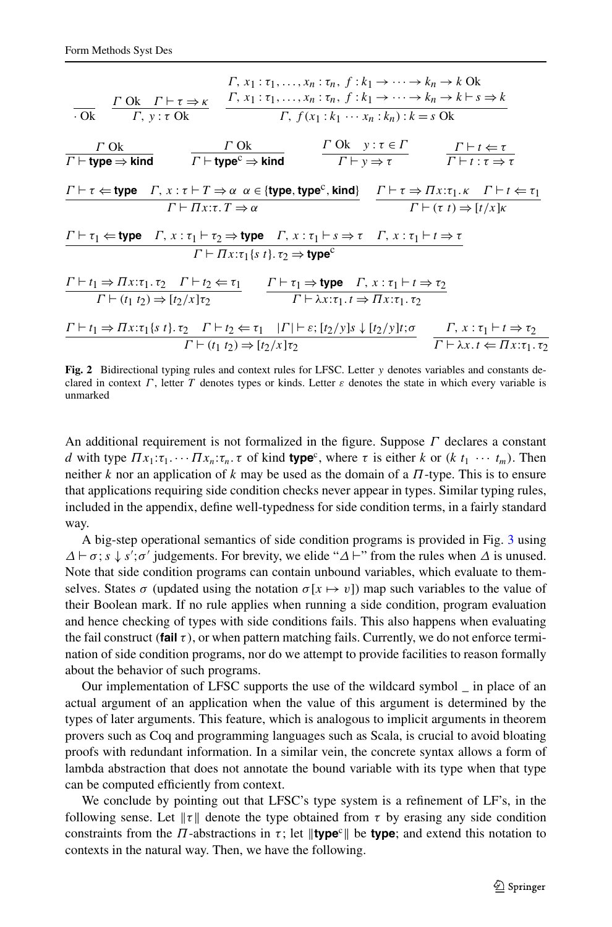$$
\frac{\Gamma, x_1 : \tau_1, \dots, x_n : \tau_n, f : k_1 \rightarrow \dots \rightarrow k_n \rightarrow k \text{ Ok}}{\Gamma, y : \tau \text{ Ok}} \frac{\Gamma \text{ Ok } \Gamma \vdash \tau \Rightarrow \kappa}{\Gamma, y : \tau \text{ Ok}} \frac{\Gamma, x_1 : \tau_1, \dots, x_n : \tau_n, f : k_1 \rightarrow \dots \rightarrow k_n \rightarrow k \vdash s \Rightarrow k}{\Gamma, f(x_1 : k_1 \cdots x_n : k_n) : k = s \text{ Ok}} \frac{\Gamma \text{ Ok }}{\Gamma \vdash \text{type} \Rightarrow \text{kind}} \frac{\Gamma \text{ Ok } y : \tau \in \Gamma}{\Gamma \vdash y \Rightarrow \tau} \frac{\Gamma \vdash t \Leftarrow \tau}{\Gamma \vdash t : \tau \Rightarrow \tau}
$$
\n
$$
\frac{\Gamma \vdash \tau \Leftarrow \text{type } \Gamma, x : \tau \vdash T \Rightarrow \alpha \alpha \in \{\text{type}, \text{type}^c, \text{kind}\}}{\Gamma \vdash \Pi x : \tau, T \Rightarrow \alpha} \frac{\Gamma \vdash \tau \Rightarrow \Pi x : \tau_1 \cdot \kappa \Gamma \vdash t \Leftarrow \tau_1}{\Gamma \vdash (t \cdot t) \Rightarrow [t/x] \kappa}
$$
\n
$$
\frac{\Gamma \vdash \tau_1 \Leftarrow \text{type } \Gamma, x : \tau_1 \vdash \tau_2 \Rightarrow \text{type } \Gamma, x : \tau_1 \vdash s \Rightarrow \tau \Gamma, x : \tau_1 \vdash t \Rightarrow \tau}{\Gamma \vdash \Pi x : \tau_1 \{s \cdot t\}, \tau_2 \Rightarrow \text{type}^c}
$$
\n
$$
\frac{\Gamma \vdash t_1 \Rightarrow \Pi x : \tau_1 \cdot \tau_2 \Gamma \vdash t_2 \Leftarrow \tau_1}{\Gamma \vdash (t_1 \cdot t_2) \Rightarrow [t_2 / x] \tau_2} \frac{\Gamma \vdash \tau_1 \Rightarrow \text{type } \Gamma, x : \tau_1 \vdash t \Rightarrow \tau_2}{\Gamma \vdash \lambda x : \tau_1 \cdot \tau_2 \Pi x : \tau_1 \cdot \tau_2}
$$
\n
$$
\frac{\Gamma \vdash t_1 \Rightarrow \Pi x : \tau_1 \{s \cdot t\}, \tau_2 \Gamma \vdash t_2 \Leftarrow \tau_1}{\Gamma \vdash (t_1 \cdot t_2) \Rightarrow [t_2 / x] \tau_2} \frac{\Gamma \vdash t_2}{\
$$

<span id="page-6-0"></span>**Fig. 2** Bidirectional typing rules and context rules for LFSC. Letter *y* denotes variables and constants declared in context *Γ* , letter *T* denotes types or kinds. Letter *ε* denotes the state in which every variable is unmarked

An additional requirement is not formalized in the figure. Suppose *Γ* declares a constant *d* with type  $\Pi x_1 : \tau_1 \cdots \Pi x_n : \tau_n \cdot \tau$  of kind **type**<sup>c</sup>, where  $\tau$  is either *k* or  $(k \ t_1 \ \cdots \ t_m)$ . Then neither *k* nor an application of *k* may be used as the domain of a *Π*-type. This is to ensure that applications requiring side condition checks never appear in types. Similar typing rules, included in the appendix, define well-typedness for side condition terms, in a fairly standard way.

A big-step operational semantics of side condition programs is provided in Fig. [3](#page-7-1) using  $\Delta \vdash \sigma$ ;  $s \downarrow s'$ ; $\sigma'$  judgements. For brevity, we elide " $\Delta \vdash$ " from the rules when  $\Delta$  is unused. Note that side condition programs can contain unbound variables, which evaluate to themselves. States  $\sigma$  (updated using the notation  $\sigma[x \mapsto v]$ ) map such variables to the value of their Boolean mark. If no rule applies when running a side condition, program evaluation and hence checking of types with side conditions fails. This also happens when evaluating the fail construct *(***fail** *τ)*, or when pattern matching fails. Currently, we do not enforce termination of side condition programs, nor do we attempt to provide facilities to reason formally about the behavior of such programs.

Our implementation of LFSC supports the use of the wildcard symbol \_ in place of an actual argument of an application when the value of this argument is determined by the types of later arguments. This feature, which is analogous to implicit arguments in theorem provers such as Coq and programming languages such as Scala, is crucial to avoid bloating proofs with redundant information. In a similar vein, the concrete syntax allows a form of lambda abstraction that does not annotate the bound variable with its type when that type can be computed efficiently from context.

We conclude by pointing out that LFSC's type system is a refinement of LF's, in the following sense. Let  $\|\tau\|$  denote the type obtained from  $\tau$  by erasing any side condition constraints from the  $\Pi$ -abstractions in  $\tau$ ; let  $\|\text{type}^c\|$  be **type**; and extend this notation to contexts in the natural way. Then, we have the following.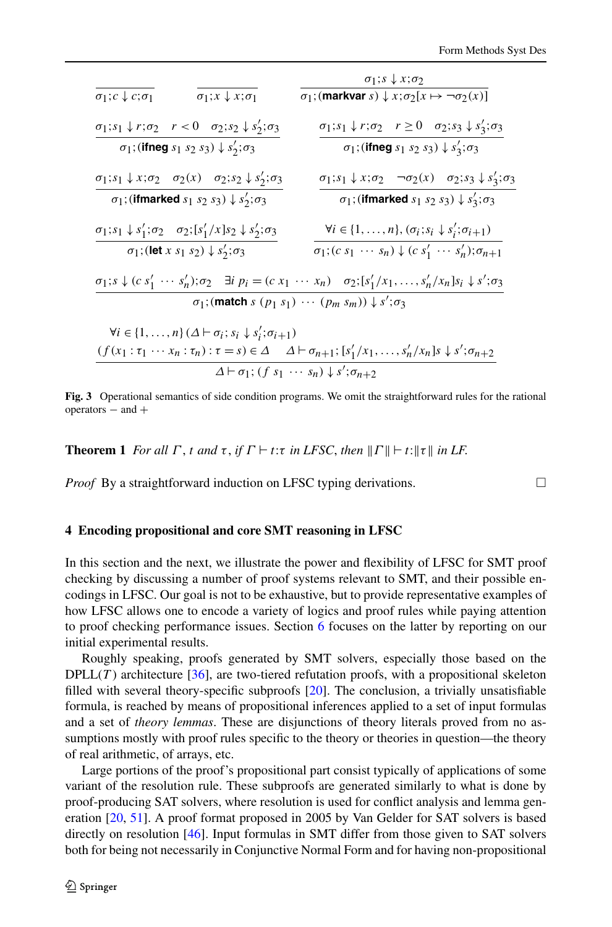|                                                                                                                    | $\sigma_1$ ; $s \downarrow x$ ; $\sigma_2$                                                                                                                                    |  |  |  |  |
|--------------------------------------------------------------------------------------------------------------------|-------------------------------------------------------------------------------------------------------------------------------------------------------------------------------|--|--|--|--|
| $\sigma_1$ ; $x \downarrow x$ ; $\sigma_1$<br>$\sigma_1$ ; $c \downarrow c$ ; $\sigma_1$                           | $\sigma_1$ ; (markvar s) $\downarrow x$ ; $\sigma_2[x \mapsto \neg \sigma_2(x)]$                                                                                              |  |  |  |  |
| $\sigma_1;s_1\downarrow r;\sigma_2\quad r<0\quad \sigma_2;s_2\downarrow s_2';\sigma_3$                             | $\sigma_1$ ; $s_1 \downarrow r$ ; $\sigma_2 \quad r \ge 0 \quad \sigma_2$ ; $s_3 \downarrow s'_3$ ; $\sigma_3$                                                                |  |  |  |  |
| $\sigma_1$ ; (ifneg $s_1$ $s_2$ $s_3$ ) $\downarrow$ $s'_2$ ; $\sigma_3$                                           | $\sigma_1$ ; (ifneg $s_1$ $s_2$ $s_3$ ) $\downarrow$ $s'_3$ ; $\sigma_3$                                                                                                      |  |  |  |  |
| $\sigma_1$ ; $s_1 \downarrow x$ ; $\sigma_2 \quad \sigma_2(x) \quad \sigma_2$ ; $s_2 \downarrow s'_2$ ; $\sigma_3$ | $\sigma_1$ ; $s_1 \downarrow x$ ; $\sigma_2$ $\neg \sigma_2(x)$ $\sigma_2$ ; $s_3 \downarrow s'_3$ ; $\sigma_3$                                                               |  |  |  |  |
| $\sigma_1$ ; (ifmarked $s_1$ $s_2$ $s_3$ ) $\downarrow$ $s'_2$ ; $\sigma_3$                                        | $\sigma_1$ ; (ifmarked $s_1$ $s_2$ $s_3$ ) $\downarrow$ $s'_3$ ; $\sigma_3$                                                                                                   |  |  |  |  |
| $\sigma_1$ ; $s_1 \downarrow s'_1$ ; $\sigma_2 \quad \sigma_2$ ; $[s'_1/x]$ $s_2 \downarrow s'_2$ ; $\sigma_3$     | $\forall i \in \{1, \ldots, n\}, (\sigma_i; s_i \downarrow s'_i; \sigma_{i+1})$                                                                                               |  |  |  |  |
| $\sigma_1$ ; (let x s <sub>1</sub> s <sub>2</sub> ) $\downarrow$ s <sub>2</sub> ; $\sigma_3$                       | $\sigma_1$ ; $(c s_1 \cdots s_n) \downarrow (c s'_1 \cdots s'_n); \sigma_{n+1}$                                                                                               |  |  |  |  |
|                                                                                                                    | $\sigma_1$ ; $s \downarrow$ $(c s'_1 \cdots s'_n)$ ; $\sigma_2$ $\exists i \ p_i = (c x_1 \cdots x_n) \ \sigma_2$ ; $[s'_1/x_1, \ldots, s'_n/x_n]s_i \downarrow s'; \sigma_3$ |  |  |  |  |
|                                                                                                                    | $\sigma_1$ ; (match s $(p_1 s_1) \cdots (p_m s_m)$ ) $\downarrow s'; \sigma_3$                                                                                                |  |  |  |  |
| $\forall i \in \{1, \ldots, n\} (\Delta \vdash \sigma_i; s_i \downarrow s'_i; \sigma_{i+1})$                       |                                                                                                                                                                               |  |  |  |  |
|                                                                                                                    | $(f(x_1 : \tau_1 \cdots x_n : \tau_n) : \tau = s) \in \Delta \quad \Delta \vdash \sigma_{n+1}; [s'_1/x_1, \ldots, s'_n/x_n] \land s \downarrow s'; \sigma_{n+2}$              |  |  |  |  |
|                                                                                                                    | $\Delta \vdash \sigma_1$ ; $(f s_1 \cdots s_n) \downarrow s'; \sigma_{n+2}$                                                                                                   |  |  |  |  |

<span id="page-7-1"></span><span id="page-7-0"></span>**Fig. 3** Operational semantics of side condition programs. We omit the straightforward rules for the rational  $operators - and +$ 

**Theorem 1** *For all*  $\Gamma$ , *t and*  $\tau$ , *if*  $\Gamma \vdash t$ : $\tau$  *in LFSC*, *then*  $\|\Gamma\| \vdash t$ : $\|\tau\|$  *in LF*.

*Proof* By a straightforward induction on LFSC typing derivations.  $\Box$ 

#### **4 Encoding propositional and core SMT reasoning in LFSC**

In this section and the next, we illustrate the power and flexibility of LFSC for SMT proof checking by discussing a number of proof systems relevant to SMT, and their possible encodings in LFSC. Our goal is not to be exhaustive, but to provide representative examples of how LFSC allows one to encode a variety of logics and proof rules while paying attention to proof checking performance issues. Section [6](#page-17-0) focuses on the latter by reporting on our initial experimental results.

Roughly speaking, proofs generated by SMT solvers, especially those based on the  $DPLL(T)$  architecture [[36](#page-27-11)], are two-tiered refutation proofs, with a propositional skeleton filled with several theory-specific subproofs [\[20\]](#page-26-21). The conclusion, a trivially unsatisfiable formula, is reached by means of propositional inferences applied to a set of input formulas and a set of *theory lemmas*. These are disjunctions of theory literals proved from no assumptions mostly with proof rules specific to the theory or theories in question—the theory of real arithmetic, of arrays, etc.

Large portions of the proof's propositional part consist typically of applications of some variant of the resolution rule. These subproofs are generated similarly to what is done by proof-producing SAT solvers, where resolution is used for conflict analysis and lemma generation [[20](#page-26-21), [51\]](#page-27-12). A proof format proposed in 2005 by Van Gelder for SAT solvers is based directly on resolution [[46](#page-27-13)]. Input formulas in SMT differ from those given to SAT solvers both for being not necessarily in Conjunctive Normal Form and for having non-propositional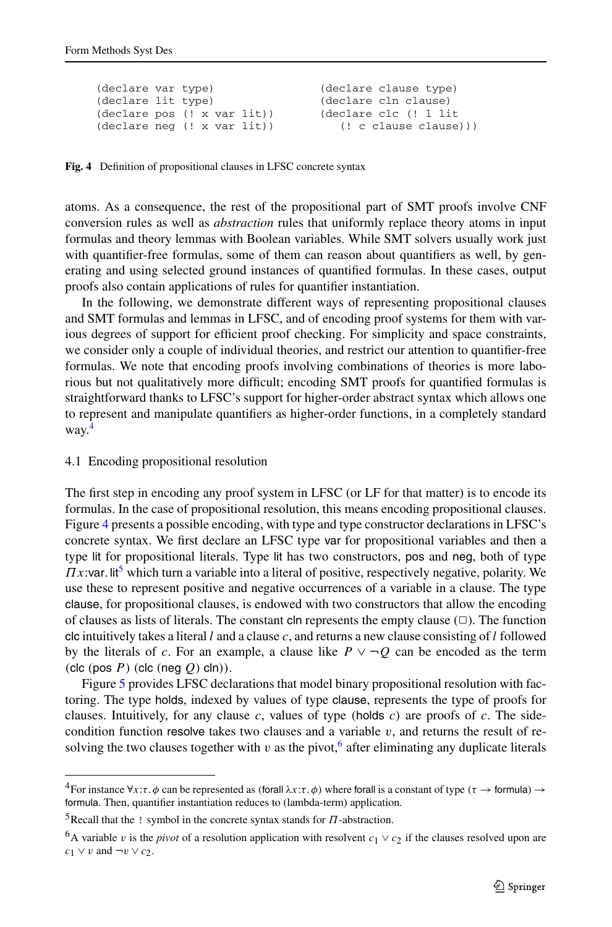```
(declare var type)
(declare lit type)
(declare pos (! x var lit))
(declare neg (! x var lit))
                                   (declare clause type)
                                   (declare cln clause)
                                   (declare clc (! l lit
                                      (! c clause clause)))
```
**Fig. 4** Definition of propositional clauses in LFSC concrete syntax

atoms. As a consequence, the rest of the propositional part of SMT proofs involve CNF conversion rules as well as *abstraction* rules that uniformly replace theory atoms in input formulas and theory lemmas with Boolean variables. While SMT solvers usually work just with quantifier-free formulas, some of them can reason about quantifiers as well, by generating and using selected ground instances of quantified formulas. In these cases, output proofs also contain applications of rules for quantifier instantiation.

<span id="page-8-4"></span>In the following, we demonstrate different ways of representing propositional clauses and SMT formulas and lemmas in LFSC, and of encoding proof systems for them with various degrees of support for efficient proof checking. For simplicity and space constraints, we consider only a couple of individual theories, and restrict our attention to quantifier-free formulas. We note that encoding proofs involving combinations of theories is more laborious but not qualitatively more difficult; encoding SMT proofs for quantified formulas is straightforward thanks to LFSC's support for higher-order abstract syntax which allows one to represent and manipulate quantifiers as higher-order functions, in a completely standard way[.4](#page-8-0)

#### 4.1 Encoding propositional resolution

The first step in encoding any proof system in LFSC (or LF for that matter) is to encode its formulas. In the case of propositional resolution, this means encoding propositional clauses. Figure [4](#page-8-1) presents a possible encoding, with type and type constructor declarations in LFSC's concrete syntax. We first declare an LFSC type var for propositional variables and then a type lit for propositional literals. Type lit has two constructors, pos and neg, both of type  $\pi x$ :var. lit<sup>[5](#page-8-2)</sup> which turn a variable into a literal of positive, respectively negative, polarity. We use these to represent positive and negative occurrences of a variable in a clause. The type clause, for propositional clauses, is endowed with two constructors that allow the encoding of clauses as lists of literals. The constant  $\text{cln}$  represents the empty clause ( $\Box$ ). The function clc intuitively takes a literal *l* and a clause *c*, and returns a new clause consisting of *l* followed by the literals of *c*. For an example, a clause like  $P \vee \neg Q$  can be encoded as the term *(*clc *(*pos *P)(*clc *(*neg *Q)* cln*))*.

<span id="page-8-3"></span><span id="page-8-2"></span><span id="page-8-0"></span>Figure [5](#page-9-0) provides LFSC declarations that model binary propositional resolution with factoring. The type holds, indexed by values of type clause, represents the type of proofs for clauses. Intuitively, for any clause *c*, values of type *(*holds *c)* are proofs of *c*. The sidecondition function resolve takes two clauses and a variable  $v$ , and returns the result of resolving the two clauses together with  $v$  as the pivot,<sup>[6](#page-8-3)</sup> after eliminating any duplicate literals

 $^4$ For instance  $\forall$ *x*:*τ.φ* can be represented as *(forall*  $\lambda$ *x*:*τ.φ)* where forall is a constant of type  $(\tau \to$  formula)  $\to$ formula. Then, quantifier instantiation reduces to (lambda-term) application.

<sup>5</sup>Recall that the ! symbol in the concrete syntax stands for *Π*-abstraction.

<sup>&</sup>lt;sup>6</sup>A variable *v* is the *pivot* of a resolution application with resolvent  $c_1 \vee c_2$  if the clauses resolved upon are *c*<sub>1</sub> ∨ *v* and  $\neg$ *v* ∨ *c*<sub>2</sub>.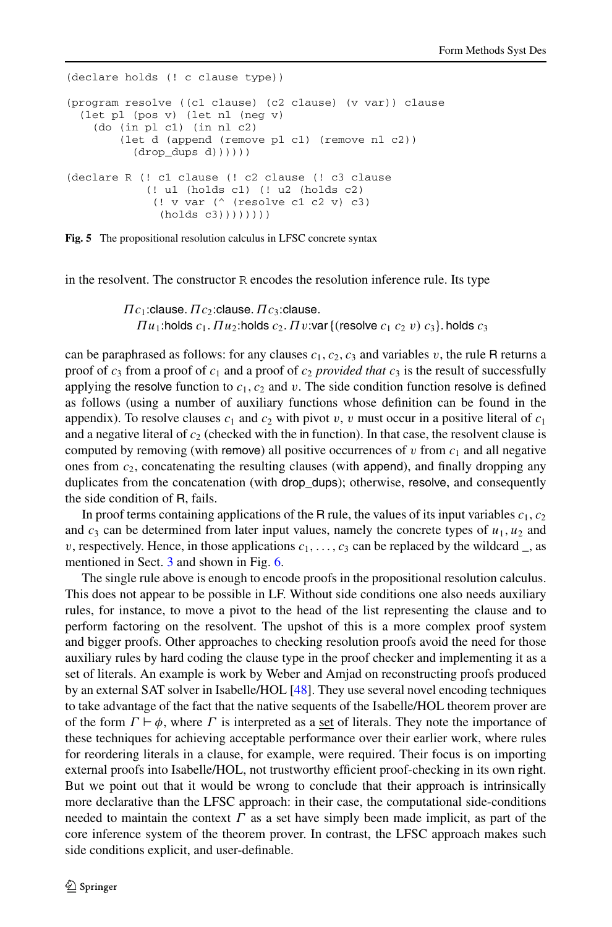```
(declare holds (! c clause type))
(program resolve ((c1 clause) (c2 clause) (v var)) clause
  (let pl (pos v) (let nl (neg v)
    (do (in pl c1) (in nl c2)
        (let d (append (remove pl c1) (remove nl c2))
          (drop_dups d)))))
(declare R (! c1 clause (! c2 clause (! c3 clause
            (! u1 (holds c1) (! u2 (holds c2)
             (! v var (^ (resolve c1 c2 v) c3)
              (holds c3))))))))
```


in the resolvent. The constructor R encodes the resolution inference rule. Its type

*Πc*1:clause*.Πc*2:clause*.Πc*3:clause*.*  $\Pi$ *u*<sub>1</sub>:holds *c*<sub>1</sub>*.*  $\Pi$ *u*<sub>2</sub>:holds *c*<sub>2</sub>*.*  $\Pi$ *v*:var {*(resolve <i>c*<sub>1</sub> *c*<sub>2</sub> *v*) *c*<sub>3</sub>}*.* holds *c*<sub>3</sub>

can be paraphrased as follows: for any clauses  $c_1$ ,  $c_2$ ,  $c_3$  and variables *v*, the rule R returns a proof of  $c_3$  from a proof of  $c_1$  and a proof of  $c_2$  *provided that*  $c_3$  is the result of successfully applying the resolve function to  $c_1, c_2$  and  $v$ . The side condition function resolve is defined as follows (using a number of auxiliary functions whose definition can be found in the appendix). To resolve clauses  $c_1$  and  $c_2$  with pivot *v*, *v* must occur in a positive literal of  $c_1$ and a negative literal of  $c<sub>2</sub>$  (checked with the in function). In that case, the resolvent clause is computed by removing (with remove) all positive occurrences of  $v$  from  $c_1$  and all negative ones from  $c_2$ , concatenating the resulting clauses (with append), and finally dropping any duplicates from the concatenation (with drop\_dups); otherwise, resolve, and consequently the side condition of R, fails.

In proof terms containing applications of the R rule, the values of its input variables  $c_1, c_2$ and  $c_3$  can be determined from later input values, namely the concrete types of  $u_1, u_2$  and *v*, respectively. Hence, in those applications  $c_1, \ldots, c_3$  can be replaced by the wildcard \_, as mentioned in Sect. [3](#page-4-0) and shown in Fig. [6.](#page-10-0)

The single rule above is enough to encode proofs in the propositional resolution calculus. This does not appear to be possible in LF. Without side conditions one also needs auxiliary rules, for instance, to move a pivot to the head of the list representing the clause and to perform factoring on the resolvent. The upshot of this is a more complex proof system and bigger proofs. Other approaches to checking resolution proofs avoid the need for those auxiliary rules by hard coding the clause type in the proof checker and implementing it as a set of literals. An example is work by Weber and Amjad on reconstructing proofs produced by an external SAT solver in Isabelle/HOL [\[48\]](#page-27-14). They use several novel encoding techniques to take advantage of the fact that the native sequents of the Isabelle/HOL theorem prover are of the form  $\Gamma \vdash \phi$ , where  $\Gamma$  is interpreted as a set of literals. They note the importance of these techniques for achieving acceptable performance over their earlier work, where rules for reordering literals in a clause, for example, were required. Their focus is on importing external proofs into Isabelle/HOL, not trustworthy efficient proof-checking in its own right. But we point out that it would be wrong to conclude that their approach is intrinsically more declarative than the LFSC approach: in their case, the computational side-conditions needed to maintain the context *Γ* as a set have simply been made implicit, as part of the core inference system of the theorem prover. In contrast, the LFSC approach makes such side conditions explicit, and user-definable.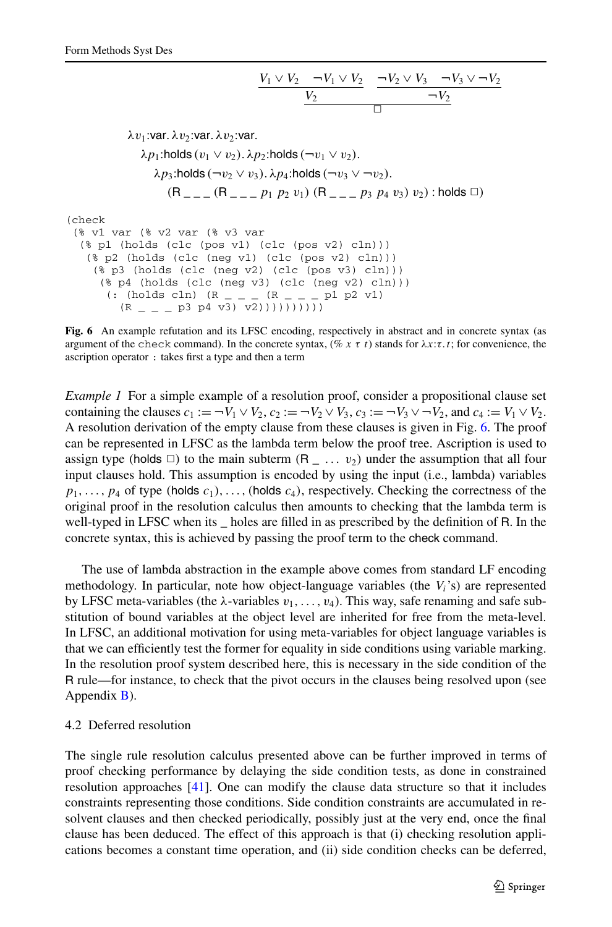$$
\frac{V_1 \vee V_2 \quad \neg V_1 \vee V_2}{V_2} \quad \frac{\neg V_2 \vee V_3 \quad \neg V_3 \vee \neg V_2}{\neg V_2}
$$

$$
\lambda v_1:\text{var. }\lambda v_2:\text{var. }\lambda v_2:\text{var. }
$$
\n
$$
\lambda p_1:\text{holds}(v_1 \vee v_2).\lambda p_2:\text{holds}(\neg v_1 \vee v_2).
$$
\n
$$
\lambda p_3:\text{holds}(\neg v_2 \vee v_3).\lambda p_4:\text{holds}(\neg v_3 \vee \neg v_2).
$$
\n
$$
(\mathsf{R}_{---}(\mathsf{R}_{---}p_1 p_2 v_1) (\mathsf{R}_{---}p_3 p_4 v_3) v_2):\text{holds } \Box)
$$

<span id="page-10-0"></span>(check

```
(% v1 var (% v2 var (% v3 var
 (% p1 (holds (clc (pos v1) (clc (pos v2) cln)))
  (% p2 (holds (clc (neg v1) (clc (pos v2) cln)))
    (% p3 (holds (clc (neg v2) (clc (pos v3) cln)))
     (\text{kg p4} (holds (clc (neg v3) (clc (neg v2) cln)))
       \left( : \text{ (holds } \text{cln} \right) \text{ (R } _{\text{--}}\text{ }_{\text{--}}\text{ (R } _{\text{--}}\text{ }_{\text{--}}\text{ }p1 \text{ p2 v1})(R_{ - - - P3 P4 v3) v2))))))))
```
**Fig. 6** An example refutation and its LFSC encoding, respectively in abstract and in concrete syntax (as argument of the check command). In the concrete syntax, (% *xτt*) stands for *λx*:*τ.t*; for convenience, the ascription operator : takes first a type and then a term

*Example 1* For a simple example of a resolution proof, consider a propositional clause set containing the clauses  $c_1 := \neg V_1 \lor V_2$ ,  $c_2 := \neg V_2 \lor V_3$ ,  $c_3 := \neg V_3 \lor \neg V_2$ , and  $c_4 := V_1 \lor V_2$ . A resolution derivation of the empty clause from these clauses is given in Fig. [6](#page-10-0). The proof can be represented in LFSC as the lambda term below the proof tree. Ascription is used to assign type (holds  $\Box$ ) to the main subterm  $(R_ \_ \ldots v_2)$  under the assumption that all four input clauses hold. This assumption is encoded by using the input (i.e., lambda) variables  $p_1, \ldots, p_4$  of type *(holds*  $c_1$ *),..., <i>(holds c<sub>4</sub>)*, respectively. Checking the correctness of the original proof in the resolution calculus then amounts to checking that the lambda term is well-typed in LFSC when its \_ holes are filled in as prescribed by the definition of R. In the concrete syntax, this is achieved by passing the proof term to the check command.

<span id="page-10-1"></span>The use of lambda abstraction in the example above comes from standard LF encoding methodology. In particular, note how object-language variables (the  $V_i$ 's) are represented by LFSC meta-variables (the  $\lambda$ -variables  $v_1, \ldots, v_4$ ). This way, safe renaming and safe substitution of bound variables at the object level are inherited for free from the meta-level. In LFSC, an additional motivation for using meta-variables for object language variables is that we can efficiently test the former for equality in side conditions using variable marking. In the resolution proof system described here, this is necessary in the side condition of the R rule—for instance, to check that the pivot occurs in the clauses being resolved upon (see Appendix [B\)](#page-23-0).

# 4.2 Deferred resolution

The single rule resolution calculus presented above can be further improved in terms of proof checking performance by delaying the side condition tests, as done in constrained resolution approaches [[41](#page-27-15)]. One can modify the clause data structure so that it includes constraints representing those conditions. Side condition constraints are accumulated in resolvent clauses and then checked periodically, possibly just at the very end, once the final clause has been deduced. The effect of this approach is that (i) checking resolution applications becomes a constant time operation, and (ii) side condition checks can be deferred,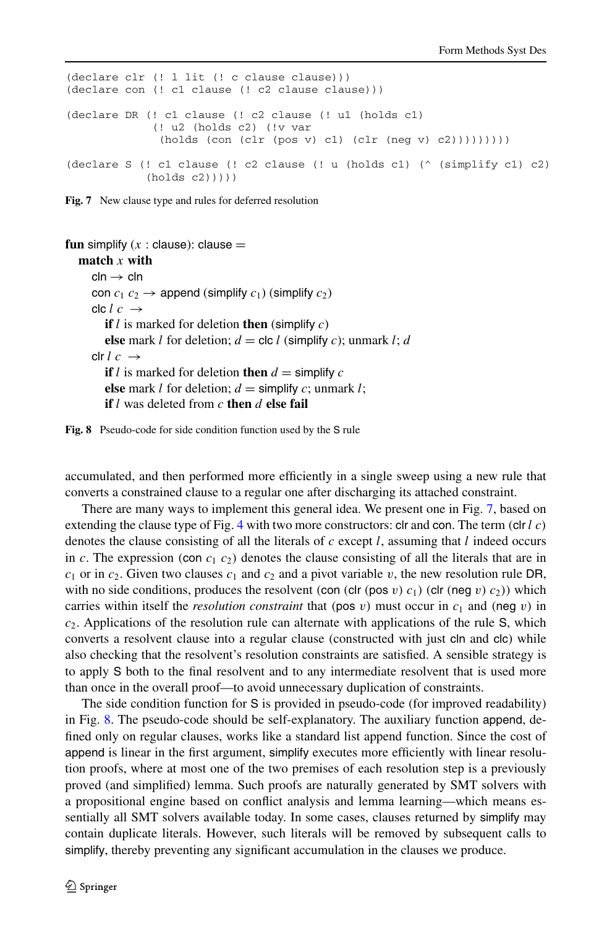```
(declare clr (! l lit (! c clause clause)))
(declare con (! c1 clause (! c2 clause clause)))
(declare DR (! c1 clause (! c2 clause (! u1 (holds c1)
             (! u2 (holds c2) (!v var
             (holds (con (clr (pos v) c1) (clr (neg v) c2)))))))(declare S (! c1 clause (! c2 clause (! u (holds c1) (^ (simplify c1) c2)
           (holds (2))))
```


```
fun simplify (x : \text{clause}): clause =
  match x with
     cln \rightarrow clncon c_1 c_2 \rightarrow append (simplify c_1) (simplify c_2)
     clc l c \rightarrowif l is marked for deletion then (simplify c)
        else mark l for deletion; d = clc l (simplify c); unmark l; d
     clr l c \rightarrowif l is marked for deletion then d = simplify celse mark l for deletion; d = simplify c; unmark l;
        if l was deleted from c then d else fail
```


accumulated, and then performed more efficiently in a single sweep using a new rule that converts a constrained clause to a regular one after discharging its attached constraint.

There are many ways to implement this general idea. We present one in Fig. [7](#page-11-0), based on extending the clause type of Fig. [4](#page-8-1) with two more constructors: clr and con. The term *(*clr *l c)* denotes the clause consisting of all the literals of *c* except *l*, assuming that *l* indeed occurs in *c*. The expression (con  $c_1$   $c_2$ ) denotes the clause consisting of all the literals that are in  $c_1$  or in  $c_2$ . Given two clauses  $c_1$  and  $c_2$  and a pivot variable *v*, the new resolution rule DR, with no side conditions, produces the resolvent *(con*  $\left(\text{clr} \left(\text{pos } v\right) c_1\right)$  *(clr*  $\left(\text{neg } v\right) c_2$ *))* which carries within itself the *resolution constraint* that (pos *v*) must occur in  $c_1$  and (neg *v*) in  $c_2$ . Applications of the resolution rule can alternate with applications of the rule S, which converts a resolvent clause into a regular clause (constructed with just cln and clc) while also checking that the resolvent's resolution constraints are satisfied. A sensible strategy is to apply S both to the final resolvent and to any intermediate resolvent that is used more than once in the overall proof—to avoid unnecessary duplication of constraints.

The side condition function for S is provided in pseudo-code (for improved readability) in Fig. [8.](#page-11-1) The pseudo-code should be self-explanatory. The auxiliary function append, defined only on regular clauses, works like a standard list append function. Since the cost of append is linear in the first argument, simplify executes more efficiently with linear resolution proofs, where at most one of the two premises of each resolution step is a previously proved (and simplified) lemma. Such proofs are naturally generated by SMT solvers with a propositional engine based on conflict analysis and lemma learning—which means essentially all SMT solvers available today. In some cases, clauses returned by simplify may contain duplicate literals. However, such literals will be removed by subsequent calls to simplify, thereby preventing any significant accumulation in the clauses we produce.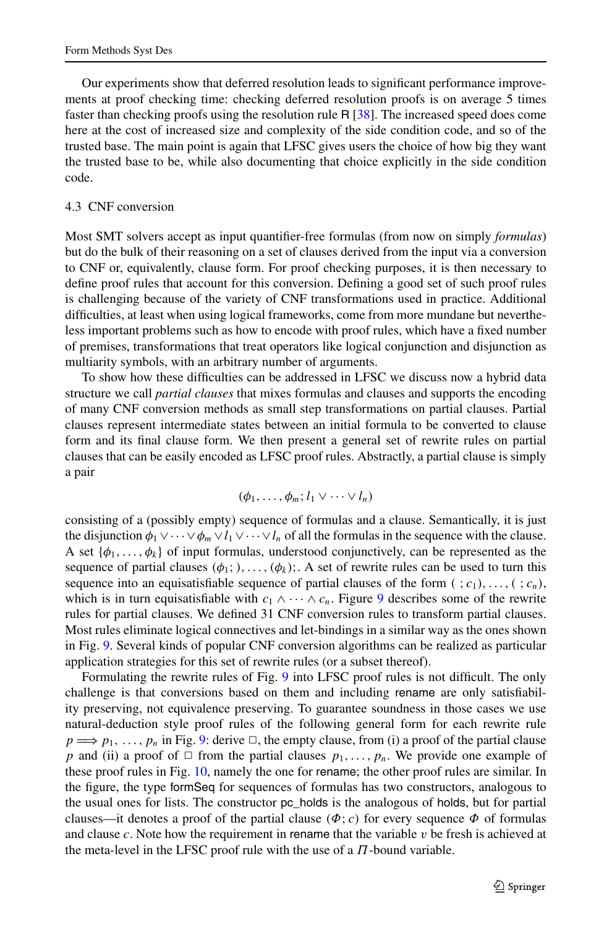<span id="page-12-0"></span>Our experiments show that deferred resolution leads to significant performance improvements at proof checking time: checking deferred resolution proofs is on average 5 times faster than checking proofs using the resolution rule  $R$  [\[38\]](#page-27-2). The increased speed does come here at the cost of increased size and complexity of the side condition code, and so of the trusted base. The main point is again that LFSC gives users the choice of how big they want the trusted base to be, while also documenting that choice explicitly in the side condition code.

## 4.3 CNF conversion

Most SMT solvers accept as input quantifier-free formulas (from now on simply *formulas*) but do the bulk of their reasoning on a set of clauses derived from the input via a conversion to CNF or, equivalently, clause form. For proof checking purposes, it is then necessary to define proof rules that account for this conversion. Defining a good set of such proof rules is challenging because of the variety of CNF transformations used in practice. Additional difficulties, at least when using logical frameworks, come from more mundane but nevertheless important problems such as how to encode with proof rules, which have a fixed number of premises, transformations that treat operators like logical conjunction and disjunction as multiarity symbols, with an arbitrary number of arguments.

To show how these difficulties can be addressed in LFSC we discuss now a hybrid data structure we call *partial clauses* that mixes formulas and clauses and supports the encoding of many CNF conversion methods as small step transformations on partial clauses. Partial clauses represent intermediate states between an initial formula to be converted to clause form and its final clause form. We then present a general set of rewrite rules on partial clauses that can be easily encoded as LFSC proof rules. Abstractly, a partial clause is simply a pair

$$
(\phi_1,\ldots,\phi_m;l_1\vee\cdots\vee l_n)
$$

consisting of a (possibly empty) sequence of formulas and a clause. Semantically, it is just the disjunction  $\phi_1 \vee \cdots \vee \phi_m \vee l_1 \vee \cdots \vee l_n$  of all the formulas in the sequence with the clause. A set  $\{\phi_1, \ldots, \phi_k\}$  of input formulas, understood conjunctively, can be represented as the sequence of partial clauses  $(\phi_1;), \ldots, (\phi_k)$ ;. A set of rewrite rules can be used to turn this sequence into an equisatisfiable sequence of partial clauses of the form  $(\, ; c_1), \ldots, (\, ; c_n),$ which is in turn equisatisfiable with  $c_1 \wedge \cdots \wedge c_n$ . Figure [9](#page-13-0) describes some of the rewrite rules for partial clauses. We defined 31 CNF conversion rules to transform partial clauses. Most rules eliminate logical connectives and let-bindings in a similar way as the ones shown in Fig. [9.](#page-13-0) Several kinds of popular CNF conversion algorithms can be realized as particular application strategies for this set of rewrite rules (or a subset thereof).

Formulating the rewrite rules of Fig. [9](#page-13-0) into LFSC proof rules is not difficult. The only challenge is that conversions based on them and including rename are only satisfiability preserving, not equivalence preserving. To guarantee soundness in those cases we use natural-deduction style proof rules of the following general form for each rewrite rule  $p \Longrightarrow p_1, \ldots, p_n$  in Fig. [9:](#page-13-0) derive  $\Box$ , the empty clause, from (i) a proof of the partial clause *p* and (ii) a proof of  $\Box$  from the partial clauses  $p_1, \ldots, p_n$ . We provide one example of these proof rules in Fig. [10,](#page-13-1) namely the one for rename; the other proof rules are similar. In the figure, the type formSeq for sequences of formulas has two constructors, analogous to the usual ones for lists. The constructor pc\_holds is the analogous of holds, but for partial clauses—it denotes a proof of the partial clause  $(\Phi; c)$  for every sequence  $\Phi$  of formulas and clause  $c$ . Note how the requirement in rename that the variable  $v$  be fresh is achieved at the meta-level in the LFSC proof rule with the use of a *Π*-bound variable.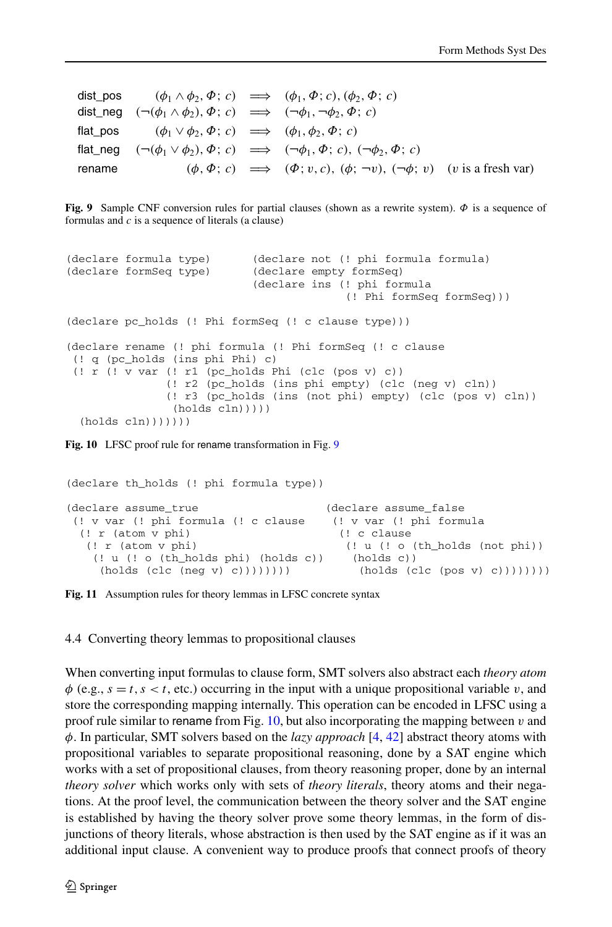<span id="page-13-0"></span>dist\_pos  $(\phi_1 \wedge \phi_2, \Phi; c) \implies (\phi_1, \Phi; c), (\phi_2, \Phi; c)$ dist\_neg  $(\neg(\phi_1 \land \phi_2), \Phi; c) \implies (\neg \phi_1, \neg \phi_2, \Phi; c)$ flat pos  $(\phi_1 \lor \phi_2, \Phi; c) \implies (\phi_1, \phi_2, \Phi; c)$ flat neg  $(¬(φ<sub>1</sub> ∨ φ<sub>2</sub>), φ; c) \implies (¬φ<sub>1</sub>, φ; c), (¬φ<sub>2</sub>, φ; c)$ rename  $(\phi, \Phi; c) \implies (\Phi; v, c), (\phi; \neg v), (\neg \phi; v)$  (*v* is a fresh var)

**Fig. 9** Sample CNF conversion rules for partial clauses (shown as a rewrite system). *Φ* is a sequence of formulas and *c* is a sequence of literals (a clause)

```
(declare formula type) (declare not (! phi formula formula)
(declare formSeq type) (declare empty formSeq)
                           (declare ins (! phi formula
                                         (! Phi formSeq formSeq)))
(declare pc_holds (! Phi formSeq (! c clause type)))
(declare rename (! phi formula (! Phi formSeq (! c clause
(! q (pc_holds (ins phi Phi) c)
(! r (! v var (! r1 (pc_holds Phi (clc (pos v) c))
              (! r2 (pc_holds (ins phi empty) (clc (neg v) cln))
              (! r3 (pc_holds (ins (not phi) empty) (clc (pos v) cln))
               (holds cln))))
 (holds cln))))))
```
Fig. 10 LFSC proof rule for rename transformation in Fig. [9](#page-13-0)

```
(declare th_holds (! phi formula type))
(declare assume_true (declare assume_false
(! v var (! phi formula (! c clause (! v var (! phi formula
 (! r (atom v phi) (! c clause
  (! r (atom v phi) (! u (! o (th_holds (not phi))
   (! u (! o (th_holds phi) (holds c)) (holds c))
    (holds (clc (neg v) c))))))))) (holds (clc (pos v) c))))))))
```
**Fig. 11** Assumption rules for theory lemmas in LFSC concrete syntax

4.4 Converting theory lemmas to propositional clauses

When converting input formulas to clause form, SMT solvers also abstract each *theory atom*  $\phi$  (e.g.,  $s = t$ ,  $s < t$ , etc.) occurring in the input with a unique propositional variable *v*, and store the corresponding mapping internally. This operation can be encoded in LFSC using a proof rule similar to rename from Fig. [10](#page-13-1), but also incorporating the mapping between *v* and *φ*. In particular, SMT solvers based on the *lazy approach* [[4,](#page-25-6) [42\]](#page-27-16) abstract theory atoms with propositional variables to separate propositional reasoning, done by a SAT engine which works with a set of propositional clauses, from theory reasoning proper, done by an internal *theory solver* which works only with sets of *theory literals*, theory atoms and their negations. At the proof level, the communication between the theory solver and the SAT engine is established by having the theory solver prove some theory lemmas, in the form of disjunctions of theory literals, whose abstraction is then used by the SAT engine as if it was an additional input clause. A convenient way to produce proofs that connect proofs of theory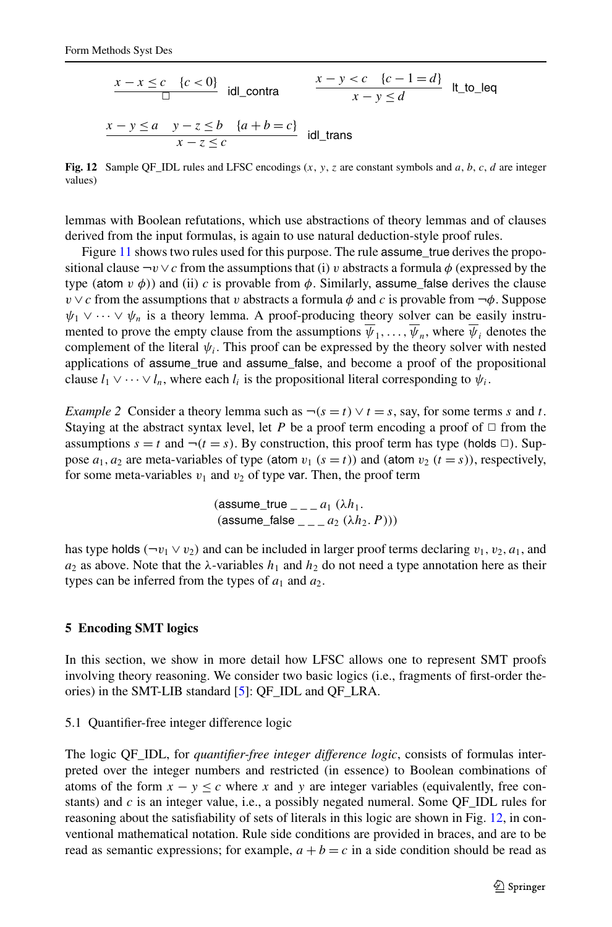<span id="page-14-1"></span>
$$
\frac{x - x \le c \quad \{c < 0\}}{\Box} \quad \text{idl\_contra} \qquad \frac{x - y < c \quad \{c - 1 = d\}}{x - y \le d} \quad \text{lt\_to\_leg}
$$
\n
$$
\frac{x - y \le a \quad y - z \le b \quad \{a + b = c\}}{x - z \le c} \quad \text{idl\_trans}
$$

**Fig. 12** Sample OF IDL rules and LFSC encodings  $(x, y, z)$  are constant symbols and  $a, b, c, d$  are integer values)

lemmas with Boolean refutations, which use abstractions of theory lemmas and of clauses derived from the input formulas, is again to use natural deduction-style proof rules.

Figure [11](#page-13-2) shows two rules used for this purpose. The rule assume\_true derives the propositional clause  $\neg v \lor c$  from the assumptions that (i) *v* abstracts a formula  $\phi$  (expressed by the type (atom  $v \phi$ )) and (ii) *c* is provable from  $\phi$ . Similarly, assume\_false derives the clause *v*  $\vee$  *c* from the assumptions that *v* abstracts a formula  $\phi$  and *c* is provable from  $\neg \phi$ . Suppose  $\psi_1 \vee \cdots \vee \psi_n$  is a theory lemma. A proof-producing theory solver can be easily instrumented to prove the empty clause from the assumptions  $\overline{\psi}_1, \ldots, \overline{\psi}_n$ , where  $\overline{\psi}_i$  denotes the complement of the literal  $\psi_i$ . This proof can be expressed by the theory solver with nested applications of assume\_true and assume\_false, and become a proof of the propositional clause  $l_1 \vee \cdots \vee l_n$ , where each  $l_i$  is the propositional literal corresponding to  $\psi_i$ .

*Example 2* Consider a theory lemma such as  $\neg(s = t) \lor t = s$ , say, for some terms *s* and *t*. Staying at the abstract syntax level, let *P* be a proof term encoding a proof of  $\Box$  from the assumptions  $s = t$  and  $\neg(t = s)$ . By construction, this proof term has type *(holds*  $\Box$ ). Suppose  $a_1, a_2$  are meta-variables of type (atom  $v_1$  ( $s = t$ )) and (atom  $v_2$  ( $t = s$ )), respectively, for some meta-variables  $v_1$  and  $v_2$  of type var. Then, the proof term

> $(assume\_true_ - a_1 (\lambda h_1))$  $(a$ ssume\_false \_ \_ \_ *a*<sub>2</sub>  $(\lambda h_2, P))$

<span id="page-14-0"></span>has type holds  $(-v_1 \vee v_2)$  and can be included in larger proof terms declaring  $v_1, v_2, a_1$ , and  $a_2$  as above. Note that the  $\lambda$ -variables  $h_1$  and  $h_2$  do not need a type annotation here as their types can be inferred from the types of  $a_1$  and  $a_2$ .

# <span id="page-14-2"></span>**5 Encoding SMT logics**

In this section, we show in more detail how LFSC allows one to represent SMT proofs involving theory reasoning. We consider two basic logics (i.e., fragments of first-order theories) in the SMT-LIB standard [\[5](#page-25-3)]: QF\_IDL and QF\_LRA.

## 5.1 Quantifier-free integer difference logic

The logic QF\_IDL, for *quantifier-free integer difference logic*, consists of formulas interpreted over the integer numbers and restricted (in essence) to Boolean combinations of atoms of the form  $x - y \leq c$  where *x* and *y* are integer variables (equivalently, free constants) and *c* is an integer value, i.e., a possibly negated numeral. Some QF\_IDL rules for reasoning about the satisfiability of sets of literals in this logic are shown in Fig. [12](#page-14-1), in conventional mathematical notation. Rule side conditions are provided in braces, and are to be read as semantic expressions; for example,  $a + b = c$  in a side condition should be read as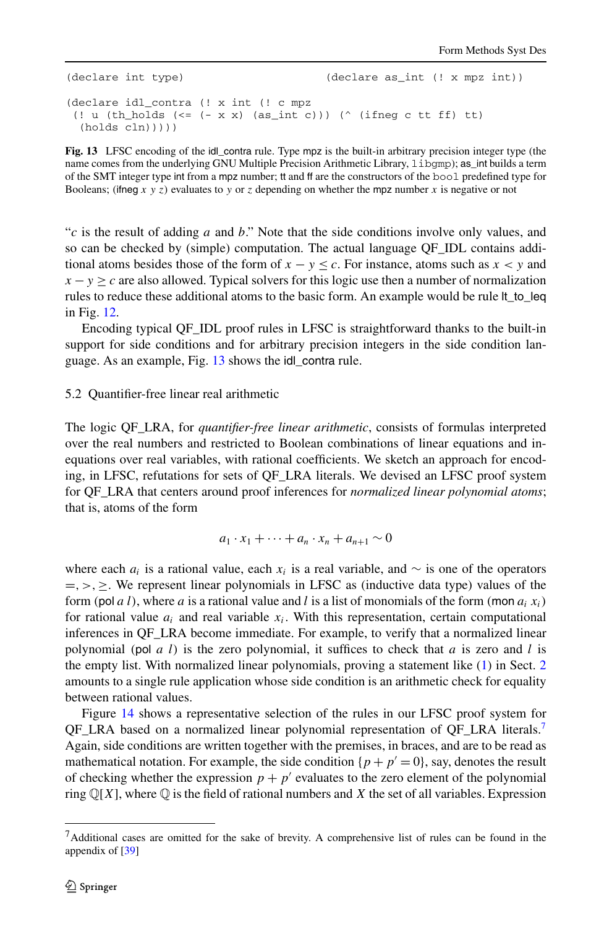```
(declare int type) (declare as int (! x mpz int))
(declare idl_contra (! x int (! c mpz
(! u (th holds (\leq - x x) (as int c))) (^ (ifneg c tt ff) tt)
 (holds cln)))
```
**Fig. 13** LFSC encoding of the idl contra rule. Type mpz is the built-in arbitrary precision integer type (the name comes from the underlying GNU Multiple Precision Arithmetic Library, libgmp); as\_int builds a term of the SMT integer type int from a mpz number; tt and ff are the constructors of the bool predefined type for Booleans; *(ifneg x y z)* evaluates to *y* or *z* depending on whether the mpz number *x* is negative or not

"*c* is the result of adding *a* and *b*." Note that the side conditions involve only values, and so can be checked by (simple) computation. The actual language QF\_IDL contains additional atoms besides those of the form of  $x - y \leq c$ . For instance, atoms such as  $x < y$  and  $x - y \ge c$  are also allowed. Typical solvers for this logic use then a number of normalization rules to reduce these additional atoms to the basic form. An example would be rule lt\_to\_leq in Fig. [12](#page-14-1).

<span id="page-15-0"></span>Encoding typical QF\_IDL proof rules in LFSC is straightforward thanks to the built-in support for side conditions and for arbitrary precision integers in the side condition lan-guage. As an example, Fig. [13](#page-15-1) shows the idl contra rule.

#### 5.2 Quantifier-free linear real arithmetic

The logic QF\_LRA, for *quantifier-free linear arithmetic*, consists of formulas interpreted over the real numbers and restricted to Boolean combinations of linear equations and inequations over real variables, with rational coefficients. We sketch an approach for encoding, in LFSC, refutations for sets of QF\_LRA literals. We devised an LFSC proof system for QF\_LRA that centers around proof inferences for *normalized linear polynomial atoms*; that is, atoms of the form

$$
a_1 \cdot x_1 + \cdots + a_n \cdot x_n + a_{n+1} \sim 0
$$

where each  $a_i$  is a rational value, each  $x_i$  is a real variable, and  $\sim$  is one of the operators =*,>,*≥. We represent linear polynomials in LFSC as (inductive data type) values of the form *(*pol *a l)*, where *a* is a rational value and *l* is a list of monomials of the form *(*mon *ai xi)* for rational value  $a_i$  and real variable  $x_i$ . With this representation, certain computational inferences in QF\_LRA become immediate. For example, to verify that a normalized linear polynomial *(*pol *a l)* is the zero polynomial, it suffices to check that *a* is zero and *l* is the empty list. With normalized linear polynomials, proving a statement like ([1](#page-4-1)) in Sect. [2](#page-3-0) amounts to a single rule application whose side condition is an arithmetic check for equality between rational values.

<span id="page-15-2"></span>Figure [14](#page-16-0) shows a representative selection of the rules in our LFSC proof system for QF\_LRA based on a normalized linear polynomial representation of QF\_LRA literals.[7](#page-15-2) Again, side conditions are written together with the premises, in braces, and are to be read as mathematical notation. For example, the side condition  $\{p + p' = 0\}$ , say, denotes the result of checking whether the expression  $p + p'$  evaluates to the zero element of the polynomial ring  $\mathbb{Q}[X]$ , where  $\mathbb{Q}$  is the field of rational numbers and X the set of all variables. Expression

 $<sup>7</sup>$ Additional cases are omitted for the sake of brevity. A comprehensive list of rules can be found in the</sup> appendix of [\[39](#page-27-17)]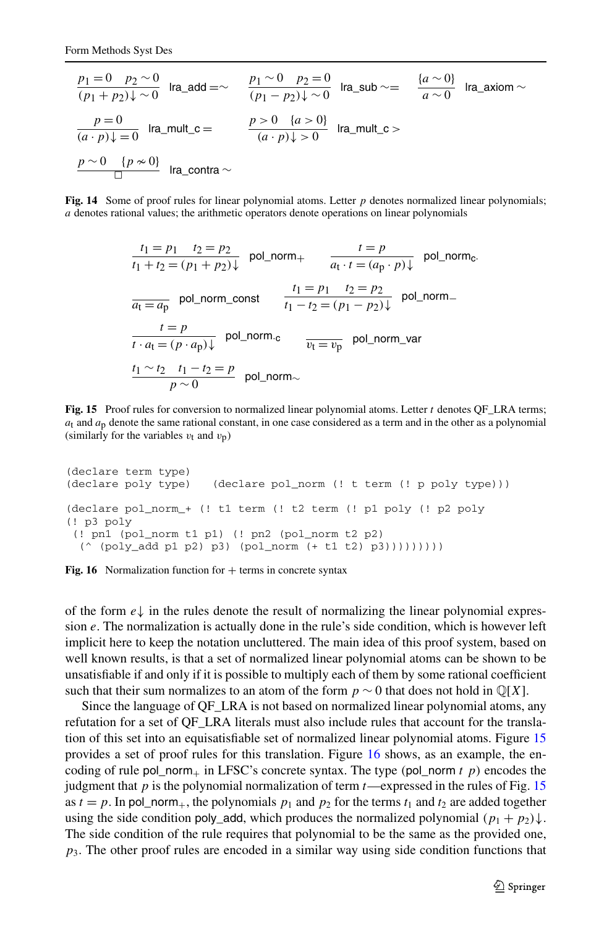<span id="page-16-0"></span>
$$
\frac{p_1 = 0 \quad p_2 \sim 0}{(p_1 + p_2)\downarrow \sim 0} \quad \text{Ira\_add} = \sim \qquad \frac{p_1 \sim 0 \quad p_2 = 0}{(p_1 - p_2)\downarrow \sim 0} \quad \text{Ira\_sub} \sim = \qquad \frac{\{a \sim 0\}}{a \sim 0} \quad \text{Ira\_axiom} \sim
$$
\n
$$
\frac{p = 0}{(a \cdot p)\downarrow = 0} \quad \text{Ira\_mult\_c} = \qquad \frac{p > 0 \quad \{a > 0\}}{(a \cdot p)\downarrow > 0} \quad \text{Ira\_mult\_c} \sim
$$
\n
$$
\frac{p \sim 0 \quad \{p \approx 0\}}{\Box} \quad \text{Ira\_contra} \sim
$$

**Fig. 14** Some of proof rules for linear polynomial atoms. Letter *p* denotes normalized linear polynomials; *a* denotes rational values; the arithmetic operators denote operations on linear polynomials

$$
\frac{t_1 = p_1 \quad t_2 = p_2}{t_1 + t_2 = (p_1 + p_2)\downarrow} \quad \text{pol\_norm}_{+} \qquad \frac{t = p}{a_t \cdot t = (a_p \cdot p)\downarrow} \quad \text{pol\_norm}_{c}.
$$
\n
$$
\frac{t_1 = p_1 \quad t_2 = p_2}{t_1 - t_2 = (p_1 - p_2)\downarrow} \quad \text{pol\_norm}_{-}
$$
\n
$$
\frac{t = p}{t \cdot a_t = (p \cdot a_p)\downarrow} \quad \text{pol\_norm}_{c} \qquad \frac{t_1 = v_p}{v_t = v_p} \quad \text{pol\_norm\_var}
$$
\n
$$
\frac{t_1 \sim t_2 \quad t_1 - t_2 = p}{p \sim 0} \quad \text{pol\_norm}_{\sim}
$$

<span id="page-16-1"></span>**Fig. 15** Proof rules for conversion to normalized linear polynomial atoms. Letter *t* denotes OF LRA terms; *a*t and *a*p denote the same rational constant, in one case considered as a term and in the other as a polynomial (similarly for the variables  $v_t$  and  $v_p$ )

```
(declare term type)
(declare poly type) (declare pol_norm (! t term (! p poly type)))
(declare pol_norm_+ (! t1 term (! t2 term (! p1 poly (! p2 poly
(! p3 poly
(! pn1 (pol_norm t1 p1) (! pn2 (pol_norm t2 p2)
 ( \hat{ } (poly add p1 p2) p3) (pol norm (+ \t1 t2) p3)))))))))
```
**Fig. 16** Normalization function for  $+$  terms in concrete syntax

of the form  $e\downarrow$  in the rules denote the result of normalizing the linear polynomial expression *e*. The normalization is actually done in the rule's side condition, which is however left implicit here to keep the notation uncluttered. The main idea of this proof system, based on well known results, is that a set of normalized linear polynomial atoms can be shown to be unsatisfiable if and only if it is possible to multiply each of them by some rational coefficient such that their sum normalizes to an atom of the form  $p \sim 0$  that does not hold in  $\mathbb{Q}[X]$ .

Since the language of QF\_LRA is not based on normalized linear polynomial atoms, any refutation for a set of QF\_LRA literals must also include rules that account for the translation of this set into an equisatisfiable set of normalized linear polynomial atoms. Figure [15](#page-16-1) provides a set of proof rules for this translation. Figure [16](#page-16-2) shows, as an example, the encoding of rule pol\_norm<sub>+</sub> in LFSC's concrete syntax. The type  $\text{(pol\_norm } t \, p)$  encodes the judgment that *p* is the polynomial normalization of term *t*—expressed in the rules of Fig. [15](#page-16-1) as  $t = p$ . In pol\_norm<sub>+</sub>, the polynomials  $p_1$  and  $p_2$  for the terms  $t_1$  and  $t_2$  are added together using the side condition poly\_add, which produces the normalized polynomial  $(p_1 + p_2)\downarrow$ . The side condition of the rule requires that polynomial to be the same as the provided one, *p*3. The other proof rules are encoded in a similar way using side condition functions that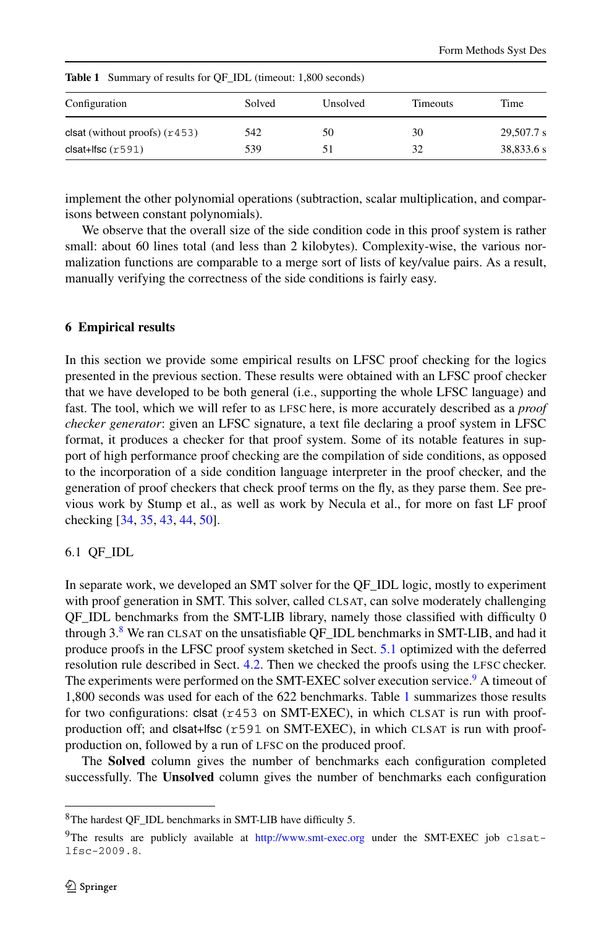| Configuration                   | Solved | Unsolved | Timeouts | Time       |
|---------------------------------|--------|----------|----------|------------|
| clsat (without proofs) $(r453)$ | 542    | 50       | 30       | 29,507.7 s |
| $clsat+lfsc(r591)$              | 539    | 51       | 32       | 38,833.6 s |

<span id="page-17-3"></span>**Table 1** Summary of results for QF\_IDL (timeout: 1,800 seconds)

implement the other polynomial operations (subtraction, scalar multiplication, and comparisons between constant polynomials).

<span id="page-17-0"></span>We observe that the overall size of the side condition code in this proof system is rather small: about 60 lines total (and less than 2 kilobytes). Complexity-wise, the various normalization functions are comparable to a merge sort of lists of key/value pairs. As a result, manually verifying the correctness of the side conditions is fairly easy.

# **6 Empirical results**

In this section we provide some empirical results on LFSC proof checking for the logics presented in the previous section. These results were obtained with an LFSC proof checker that we have developed to be both general (i.e., supporting the whole LFSC language) and fast. The tool, which we will refer to as LFSC here, is more accurately described as a *proof checker generator*: given an LFSC signature, a text file declaring a proof system in LFSC format, it produces a checker for that proof system. Some of its notable features in support of high performance proof checking are the compilation of side conditions, as opposed to the incorporation of a side condition language interpreter in the proof checker, and the generation of proof checkers that check proof terms on the fly, as they parse them. See previous work by Stump et al., as well as work by Necula et al., for more on fast LF proof checking [[34,](#page-27-18) [35](#page-27-19), [43](#page-27-3), [44,](#page-27-4) [50\]](#page-27-5).

## 6.1 QF\_IDL

In separate work, we developed an SMT solver for the QF\_IDL logic, mostly to experiment with proof generation in SMT. This solver, called CLSAT, can solve moderately challenging QF\_IDL benchmarks from the SMT-LIB library, namely those classified with difficulty 0 through  $3.8$  $3.8$  We ran CLSAT on the unsatisfiable OF IDL benchmarks in SMT-LIB, and had it produce proofs in the LFSC proof system sketched in Sect. [5.1](#page-14-2) optimized with the deferred resolution rule described in Sect. [4.2.](#page-10-1) Then we checked the proofs using the LFSC checker. The experiments were performed on the SMT-EXEC solver execution service.<sup>9</sup> A timeout of 1,800 seconds was used for each of the 622 benchmarks. Table [1](#page-17-3) summarizes those results for two configurations: clsat  $(r453$  on SMT-EXEC), in which CLSAT is run with proofproduction off; and clsat+lfsc (r591 on SMT-EXEC), in which CLSAT is run with proofproduction on, followed by a run of LFSC on the produced proof.

<span id="page-17-2"></span><span id="page-17-1"></span>The **Solved** column gives the number of benchmarks each configuration completed successfully. The **Unsolved** column gives the number of benchmarks each configuration

<sup>8</sup>The hardest QF\_IDL benchmarks in SMT-LIB have difficulty 5.

<sup>&</sup>lt;sup>9</sup>The results are publicly available at <http://www.smt-exec.org> under the SMT-EXEC job clsatlfsc-2009.8.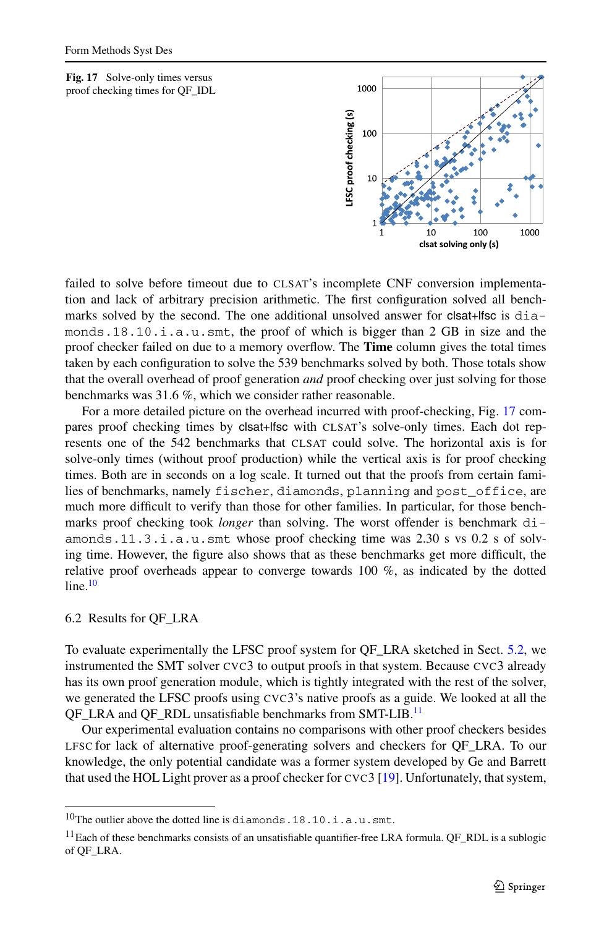<span id="page-18-0"></span>**Fig. 17** Solve-only times versus proof checking times for QF\_IDL



failed to solve before timeout due to CLSAT's incomplete CNF conversion implementation and lack of arbitrary precision arithmetic. The first configuration solved all benchmarks solved by the second. The one additional unsolved answer for clsat+lfsc is diamonds.18.10.i.a.u.smt, the proof of which is bigger than 2 GB in size and the proof checker failed on due to a memory overflow. The **Time** column gives the total times taken by each configuration to solve the 539 benchmarks solved by both. Those totals show that the overall overhead of proof generation *and* proof checking over just solving for those benchmarks was 31.6 %, which we consider rather reasonable.

For a more detailed picture on the overhead incurred with proof-checking, Fig. [17](#page-18-0) compares proof checking times by clsat+lfsc with CLSAT's solve-only times. Each dot represents one of the 542 benchmarks that CLSAT could solve. The horizontal axis is for solve-only times (without proof production) while the vertical axis is for proof checking times. Both are in seconds on a log scale. It turned out that the proofs from certain families of benchmarks, namely fischer, diamonds, planning and post\_office, are much more difficult to verify than those for other families. In particular, for those benchmarks proof checking took *longer* than solving. The worst offender is benchmark diamonds.11.3.i.a.u.smt whose proof checking time was 2.30 s vs 0.2 s of solving time. However, the figure also shows that as these benchmarks get more difficult, the relative proof overheads appear to converge towards 100 %, as indicated by the dotted  $line<sup>10</sup>$ 

# 6.2 Results for QF\_LRA

To evaluate experimentally the LFSC proof system for QF\_LRA sketched in Sect. [5.2](#page-15-0), we instrumented the SMT solver CVC3 to output proofs in that system. Because CVC3 already has its own proof generation module, which is tightly integrated with the rest of the solver, we generated the LFSC proofs using CVC3's native proofs as a guide. We looked at all the QF\_LRA and QF\_RDL unsatisfiable benchmarks from SMT-LIB.<sup>[11](#page-18-2)</sup>

<span id="page-18-2"></span><span id="page-18-1"></span>Our experimental evaluation contains no comparisons with other proof checkers besides LFSC for lack of alternative proof-generating solvers and checkers for QF\_LRA. To our knowledge, the only potential candidate was a former system developed by Ge and Barrett that used the HOL Light prover as a proof checker for CVC3 [\[19\]](#page-26-16). Unfortunately, that system,

<sup>10</sup>The outlier above the dotted line is diamonds.18.10.i.a.u.smt.

 $11$ Each of these benchmarks consists of an unsatisfiable quantifier-free LRA formula. QF\_RDL is a sublogic of QF\_LRA.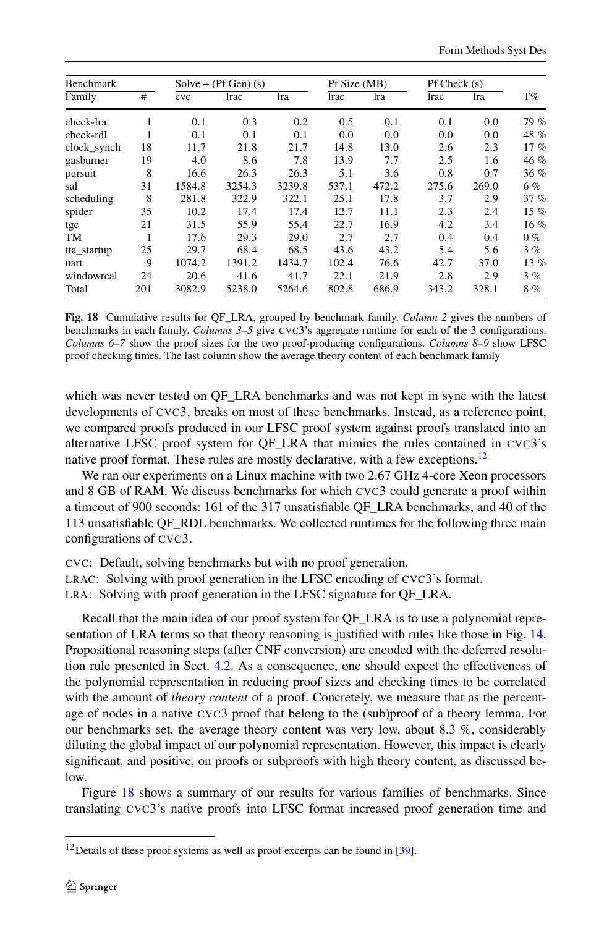| Benchmark   |     | Solve + $(Pf Gen)$ (s) |        |        | Pf Size (MB) |       | $Pf$ Check $(s)$ |       |         |
|-------------|-----|------------------------|--------|--------|--------------|-------|------------------|-------|---------|
| Family      | #   | cvc                    | lrac   | lra    | lrac         | lra   | lrac             | lra   | $T\%$   |
| check-lra   |     | 0.1                    | 0.3    | 0.2    | 0.5          | 0.1   | 0.1              | 0.0   | 79 %    |
| check-rdl   |     | 0.1                    | 0.1    | 0.1    | 0.0          | 0.0   | 0.0              | 0.0   | 48 %    |
| clock_synch | 18  | 11.7                   | 21.8   | 21.7   | 14.8         | 13.0  | 2.6              | 2.3   | 17%     |
| gasburner   | 19  | 4.0                    | 8.6    | 7.8    | 13.9         | 7.7   | 2.5              | 1.6   | 46 %    |
| pursuit     | 8   | 16.6                   | 26.3   | 26.3   | 5.1          | 3.6   | 0.8              | 0.7   | 36%     |
| sal         | 31  | 1584.8                 | 3254.3 | 3239.8 | 537.1        | 472.2 | 275.6            | 269.0 | 6%      |
| scheduling  | 8   | 281.8                  | 322.9  | 322.1  | 25.1         | 17.8  | 3.7              | 2.9   | 37%     |
| spider      | 35  | 10.2                   | 17.4   | 17.4   | 12.7         | 11.1  | 2.3              | 2.4   | 15 %    |
| tgc         | 21  | 31.5                   | 55.9   | 55.4   | 22.7         | 16.9  | 4.2              | 3.4   | $16 \%$ |
| TM          |     | 17.6                   | 29.3   | 29.0   | 2.7          | 2.7   | 0.4              | 0.4   | $0\%$   |
| tta_startup | 25  | 29.7                   | 68.4   | 68.5   | 43.6         | 43.2  | 5.4              | 5.6   | 3%      |
| uart        | 9   | 1074.2                 | 1391.2 | 1434.7 | 102.4        | 76.6  | 42.7             | 37.0  | 13%     |
| windowreal  | 24  | 20.6                   | 41.6   | 41.7   | 22.1         | 21.9  | 2.8              | 2.9   | 3%      |
| Total       | 201 | 3082.9                 | 5238.0 | 5264.6 | 802.8        | 686.9 | 343.2            | 328.1 | 8%      |

<span id="page-19-1"></span>**Fig. 18** Cumulative results for QF\_LRA, grouped by benchmark family. *Column 2* gives the numbers of benchmarks in each family. *Columns 3–5* give CVC3's aggregate runtime for each of the 3 configurations. *Columns 6–7* show the proof sizes for the two proof-producing configurations. *Columns 8–9* show LFSC proof checking times. The last column show the average theory content of each benchmark family

which was never tested on QF\_LRA benchmarks and was not kept in sync with the latest developments of CVC3, breaks on most of these benchmarks. Instead, as a reference point, we compared proofs produced in our LFSC proof system against proofs translated into an alternative LFSC proof system for QF\_LRA that mimics the rules contained in CVC3's native proof format. These rules are mostly declarative, with a few exceptions.<sup>12</sup>

We ran our experiments on a Linux machine with two 2.67 GHz 4-core Xeon processors and 8 GB of RAM. We discuss benchmarks for which CVC3 could generate a proof within a timeout of 900 seconds: 161 of the 317 unsatisfiable QF\_LRA benchmarks, and 40 of the 113 unsatisfiable QF\_RDL benchmarks. We collected runtimes for the following three main configurations of CVC3.

CVC: Default, solving benchmarks but with no proof generation.

LRAC: Solving with proof generation in the LFSC encoding of CVC3's format.

LRA: Solving with proof generation in the LFSC signature for QF\_LRA.

Recall that the main idea of our proof system for QF\_LRA is to use a polynomial representation of LRA terms so that theory reasoning is justified with rules like those in Fig. [14](#page-16-0). Propositional reasoning steps (after CNF conversion) are encoded with the deferred resolution rule presented in Sect. [4.2.](#page-10-1) As a consequence, one should expect the effectiveness of the polynomial representation in reducing proof sizes and checking times to be correlated with the amount of *theory content* of a proof. Concretely, we measure that as the percentage of nodes in a native CVC3 proof that belong to the (sub)proof of a theory lemma. For our benchmarks set, the average theory content was very low, about 8.3 %, considerably diluting the global impact of our polynomial representation. However, this impact is clearly significant, and positive, on proofs or subproofs with high theory content, as discussed below.

<span id="page-19-0"></span>Figure [18](#page-19-1) shows a summary of our results for various families of benchmarks. Since translating CVC3's native proofs into LFSC format increased proof generation time and

<sup>&</sup>lt;sup>12</sup>Details of these proof systems as well as proof excerpts can be found in [[39\]](#page-27-17).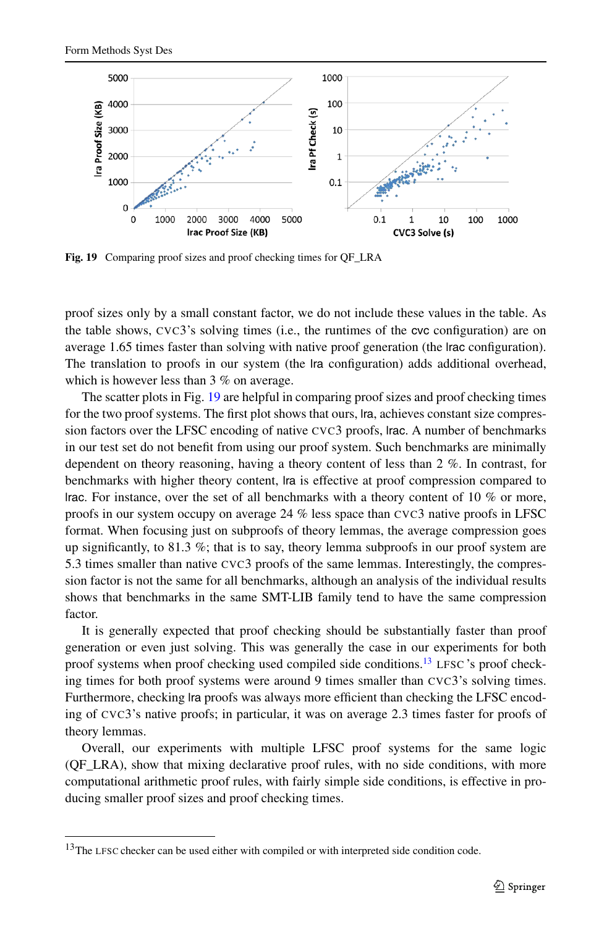<span id="page-20-0"></span>

Fig. 19 Comparing proof sizes and proof checking times for OF LRA

proof sizes only by a small constant factor, we do not include these values in the table. As the table shows, CVC3's solving times (i.e., the runtimes of the cvc configuration) are on average 1.65 times faster than solving with native proof generation (the lrac configuration). The translation to proofs in our system (the lra configuration) adds additional overhead, which is however less than 3 % on average.

The scatter plots in Fig. [19](#page-20-0) are helpful in comparing proof sizes and proof checking times for the two proof systems. The first plot shows that ours, lra, achieves constant size compression factors over the LFSC encoding of native CVC3 proofs, lrac. A number of benchmarks in our test set do not benefit from using our proof system. Such benchmarks are minimally dependent on theory reasoning, having a theory content of less than 2 %. In contrast, for benchmarks with higher theory content, lra is effective at proof compression compared to lrac. For instance, over the set of all benchmarks with a theory content of 10 % or more, proofs in our system occupy on average 24 % less space than CVC3 native proofs in LFSC format. When focusing just on subproofs of theory lemmas, the average compression goes up significantly, to 81.3 %; that is to say, theory lemma subproofs in our proof system are 5.3 times smaller than native CVC3 proofs of the same lemmas. Interestingly, the compression factor is not the same for all benchmarks, although an analysis of the individual results shows that benchmarks in the same SMT-LIB family tend to have the same compression factor.

It is generally expected that proof checking should be substantially faster than proof generation or even just solving. This was generally the case in our experiments for both proof systems when proof checking used compiled side conditions.<sup>[13](#page-20-1)</sup> LFSC 's proof checking times for both proof systems were around 9 times smaller than CVC3's solving times. Furthermore, checking lra proofs was always more efficient than checking the LFSC encoding of CVC3's native proofs; in particular, it was on average 2.3 times faster for proofs of theory lemmas.

<span id="page-20-1"></span>Overall, our experiments with multiple LFSC proof systems for the same logic (QF\_LRA), show that mixing declarative proof rules, with no side conditions, with more computational arithmetic proof rules, with fairly simple side conditions, is effective in producing smaller proof sizes and proof checking times.

<sup>&</sup>lt;sup>13</sup>The LFSC checker can be used either with compiled or with interpreted side condition code.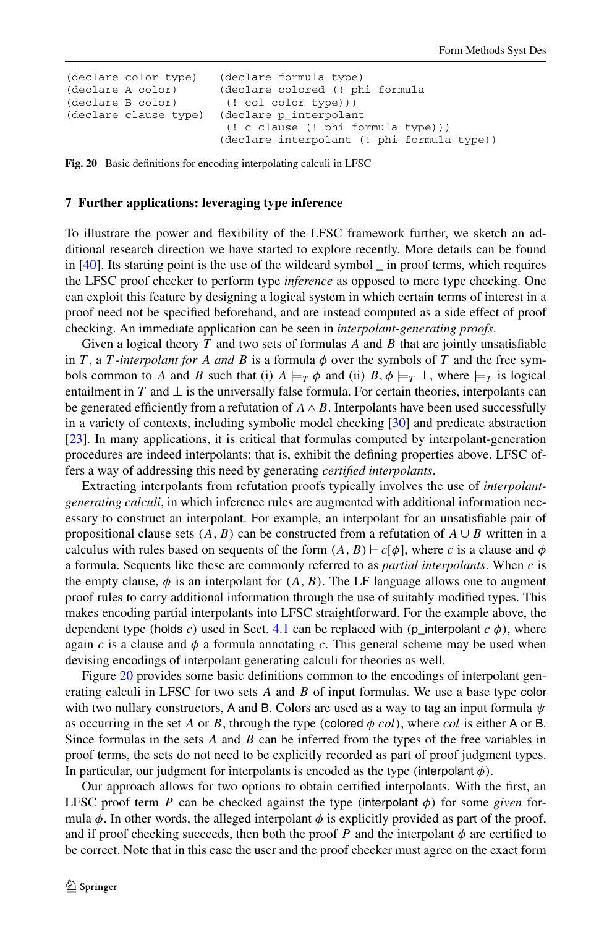```
(declare color type) (declare formula type)
(declare A color) (declare colored (! phi formula<br>(declare B color) (! col color type)))
(declare B color) (! col color type)))<br>(declare clause type) (declare p interpolan
                              (declare p_interpolant
                               (! c clause (! phi formula type)))
                              (declare interpolant (! phi formula type))
```
**Fig. 20** Basic definitions for encoding interpolating calculi in LFSC

## **7 Further applications: leveraging type inference**

To illustrate the power and flexibility of the LFSC framework further, we sketch an additional research direction we have started to explore recently. More details can be found in [[40](#page-27-7)]. Its starting point is the use of the wildcard symbol \_ in proof terms, which requires the LFSC proof checker to perform type *inference* as opposed to mere type checking. One can exploit this feature by designing a logical system in which certain terms of interest in a proof need not be specified beforehand, and are instead computed as a side effect of proof checking. An immediate application can be seen in *interpolant-generating proofs*.

Given a logical theory *T* and two sets of formulas *A* and *B* that are jointly unsatisfiable in *T*, a *T*-interpolant for *A* and *B* is a formula  $\phi$  over the symbols of *T* and the free symbols common to *A* and *B* such that (i)  $A \models_T \phi$  and (ii)  $B, \phi \models_T \bot$ , where  $\models_T$  is logical entailment in *T* and  $\perp$  is the universally false formula. For certain theories, interpolants can be generated efficiently from a refutation of  $A \wedge B$ . Interpolants have been used successfully in a variety of contexts, including symbolic model checking [[30](#page-26-22)] and predicate abstraction [[23](#page-26-23)]. In many applications, it is critical that formulas computed by interpolant-generation procedures are indeed interpolants; that is, exhibit the defining properties above. LFSC offers a way of addressing this need by generating *certified interpolants*.

Extracting interpolants from refutation proofs typically involves the use of *interpolantgenerating calculi*, in which inference rules are augmented with additional information necessary to construct an interpolant. For example, an interpolant for an unsatisfiable pair of propositional clause sets  $(A, B)$  can be constructed from a refutation of  $A \cup B$  written in a calculus with rules based on sequents of the form  $(A, B) \vdash c[\phi]$ , where *c* is a clause and  $\phi$ a formula. Sequents like these are commonly referred to as *partial interpolants*. When *c* is the empty clause,  $\phi$  is an interpolant for  $(A, B)$ . The LF language allows one to augment proof rules to carry additional information through the use of suitably modified types. This makes encoding partial interpolants into LFSC straightforward. For the example above, the dependent type *(holds c)* used in Sect. [4.1](#page-8-4) can be replaced with  $(p$  interpolant  $c \phi$ ), where again *c* is a clause and  $\phi$  a formula annotating *c*. This general scheme may be used when devising encodings of interpolant generating calculi for theories as well.

Figure [20](#page-21-1) provides some basic definitions common to the encodings of interpolant generating calculi in LFSC for two sets *A* and *B* of input formulas. We use a base type color with two nullary constructors, A and B. Colors are used as a way to tag an input formula *ψ* as occurring in the set *A* or *B*, through the type (colored  $\phi$  *col*), where *col* is either A or B. Since formulas in the sets *A* and *B* can be inferred from the types of the free variables in proof terms, the sets do not need to be explicitly recorded as part of proof judgment types. In particular, our judgment for interpolants is encoded as the type *(interpolant*  $\phi$ *)*.

Our approach allows for two options to obtain certified interpolants. With the first, an LFSC proof term *P* can be checked against the type *(*interpolant *φ)* for some *given* formula  $\phi$ . In other words, the alleged interpolant  $\phi$  is explicitly provided as part of the proof, and if proof checking succeeds, then both the proof *P* and the interpolant  $\phi$  are certified to be correct. Note that in this case the user and the proof checker must agree on the exact form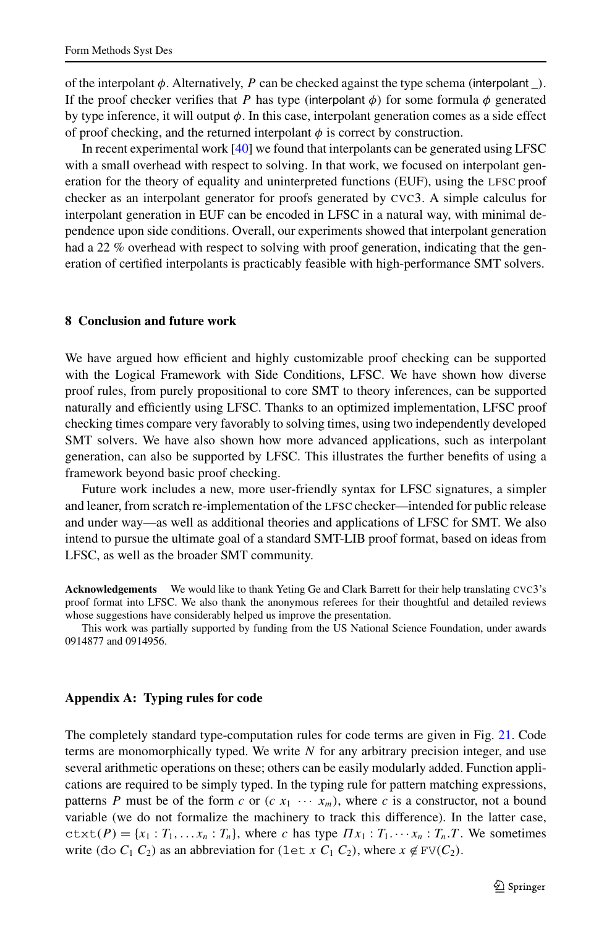of the interpolant  $\phi$ . Alternatively, *P* can be checked against the type schema *(interpolant )*. If the proof checker verifies that *P* has type *(interpolant*  $\phi$ *)* for some formula  $\phi$  generated by type inference, it will output *φ*. In this case, interpolant generation comes as a side effect of proof checking, and the returned interpolant  $\phi$  is correct by construction.

In recent experimental work [\[40\]](#page-27-7) we found that interpolants can be generated using LFSC with a small overhead with respect to solving. In that work, we focused on interpolant generation for the theory of equality and uninterpreted functions (EUF), using the LFSC proof checker as an interpolant generator for proofs generated by CVC3. A simple calculus for interpolant generation in EUF can be encoded in LFSC in a natural way, with minimal dependence upon side conditions. Overall, our experiments showed that interpolant generation had a 22 % overhead with respect to solving with proof generation, indicating that the generation of certified interpolants is practicably feasible with high-performance SMT solvers.

### **8 Conclusion and future work**

We have argued how efficient and highly customizable proof checking can be supported with the Logical Framework with Side Conditions, LFSC. We have shown how diverse proof rules, from purely propositional to core SMT to theory inferences, can be supported naturally and efficiently using LFSC. Thanks to an optimized implementation, LFSC proof checking times compare very favorably to solving times, using two independently developed SMT solvers. We have also shown how more advanced applications, such as interpolant generation, can also be supported by LFSC. This illustrates the further benefits of using a framework beyond basic proof checking.

Future work includes a new, more user-friendly syntax for LFSC signatures, a simpler and leaner, from scratch re-implementation of the LFSC checker—intended for public release and under way—as well as additional theories and applications of LFSC for SMT. We also intend to pursue the ultimate goal of a standard SMT-LIB proof format, based on ideas from LFSC, as well as the broader SMT community.

**Acknowledgements** We would like to thank Yeting Ge and Clark Barrett for their help translating CVC3's proof format into LFSC. We also thank the anonymous referees for their thoughtful and detailed reviews whose suggestions have considerably helped us improve the presentation.

This work was partially supported by funding from the US National Science Foundation, under awards 0914877 and 0914956.

## **Appendix A: Typing rules for code**

The completely standard type-computation rules for code terms are given in Fig. [21](#page-23-1). Code terms are monomorphically typed. We write *N* for any arbitrary precision integer, and use several arithmetic operations on these; others can be easily modularly added. Function applications are required to be simply typed. In the typing rule for pattern matching expressions, patterns *P* must be of the form *c* or  $(c x_1 \cdots x_m)$ , where *c* is a constructor, not a bound variable (we do not formalize the machinery to track this difference). In the latter case,  $ctxt(P) = {x_1 : T_1, \ldots, x_n : T_n}$ , where *c* has type  $\Pi x_1 : T_1 \cdots x_n : T_n \cdot T$ . We sometimes write  $(d \circ C_1 C_2)$  as an abbreviation for  $(\text{let } x C_1 C_2)$ , where  $x \notin FV(C_2)$ .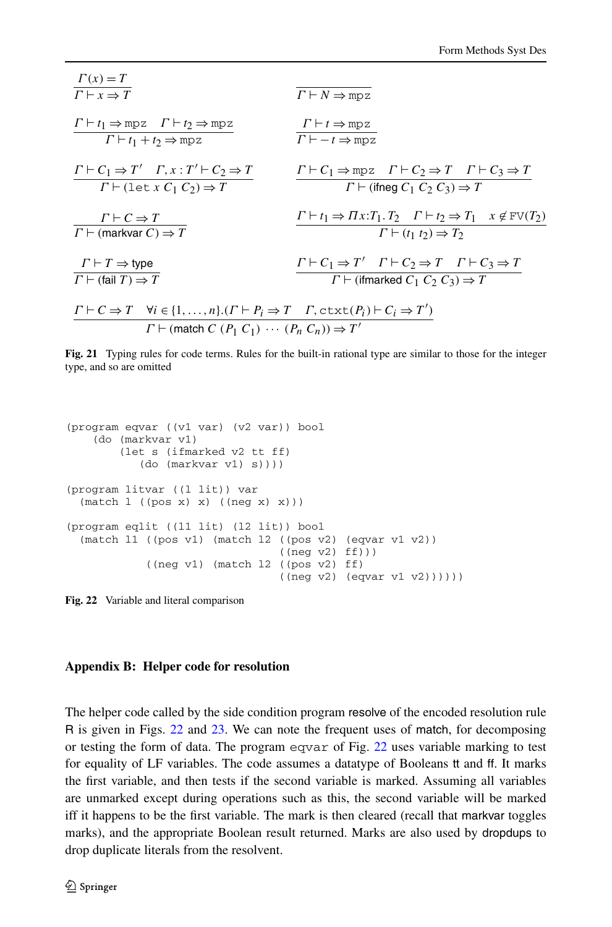$$
\frac{\Gamma(x) = T}{\Gamma \vdash x \Rightarrow T}
$$
\n
$$
\frac{\Gamma \vdash t_1 \Rightarrow \text{mpz} \quad \Gamma \vdash t_2 \Rightarrow \text{mpz}}{\Gamma \vdash t_1 + t_2 \Rightarrow \text{mpz}}
$$
\n
$$
\frac{\Gamma \vdash t_1 \Rightarrow \text{mpz} \quad \Gamma \vdash t_2 \Rightarrow \text{mpz}}{\Gamma \vdash (1 \text{ et } x \ C_1 \ C_2) \Rightarrow T}
$$
\n
$$
\frac{\Gamma \vdash C_1 \Rightarrow T' \quad \Gamma, x : T' \vdash C_2 \Rightarrow T}{\Gamma \vdash (1 \text{ et } x \ C_1 \ C_2) \Rightarrow T}
$$
\n
$$
\frac{\Gamma \vdash C_1 \Rightarrow \text{mpz} \quad \Gamma \vdash C_2 \Rightarrow T \quad \Gamma \vdash C_3 \Rightarrow T}{\Gamma \vdash (\text{fineg } C_1 \ C_2 \ C_3) \Rightarrow T}
$$
\n
$$
\frac{\Gamma \vdash C \Rightarrow T}{\Gamma \vdash (\text{markvar } C)} = \frac{\Gamma \vdash t_1 \Rightarrow \Pi x : T_1 \cdot T_2 \quad \Gamma \vdash t_2 \Rightarrow T_1 \quad x \notin \text{FV}(T_2)}{\Gamma \vdash (t_1 \ t_2) \Rightarrow T_2}
$$
\n
$$
\frac{\Gamma \vdash T \Rightarrow \text{type}}{\Gamma \vdash (\text{fail } T) \Rightarrow T}
$$
\n
$$
\frac{\Gamma \vdash C \Rightarrow T \quad \forall i \in \{1, ..., n\}.(T \vdash P_i \Rightarrow T \quad \Gamma, \text{ctxt}(P_i) \vdash C_i \Rightarrow T')}{\Gamma \vdash (\text{tfmarked } C_1 \ C_2 \ C_3) \Rightarrow T}
$$
\n
$$
\frac{\Gamma \vdash C \Rightarrow T \quad \forall i \in \{1, ..., n\}.(T \vdash P_i \Rightarrow T \quad \Gamma, \text{ctx}(P_i) \vdash C_i \Rightarrow T')}{\Gamma \vdash (\text{match } C \ (P_1 \ C_1) \ \cdots \ (P_n \ C_n)) \Rightarrow T'}
$$

<span id="page-23-1"></span>**Fig. 21** Typing rules for code terms. Rules for the built-in rational type are similar to those for the integer type, and so are omitted

```
(program eqvar ((v1 var) (v2 var)) bool
   (do (markvar v1)
       (let s (ifmarked v2 tt ff)
          (do (markvar v1) s))))
(program litvar ((l lit)) var
 (match l ((pos x) x) ((neg x) x)))
(program eqlit ((l1 lit) (l2 lit)) bool
  (match l1 ((pos v1) (match l2 ((pos v2) (eqvar v1 v2))
                                ((neg v2) ff)))
            ((neg v1) (match l2 ((pos v2) ff)
                                ((neq v2) (equar v1 v2)))))
```
<span id="page-23-0"></span>**Fig. 22** Variable and literal comparison

#### **Appendix B: Helper code for resolution**

The helper code called by the side condition program resolve of the encoded resolution rule R is given in Figs. [22](#page-23-2) and [23](#page-24-0). We can note the frequent uses of match, for decomposing or testing the form of data. The program eqvar of Fig. [22](#page-23-2) uses variable marking to test for equality of LF variables. The code assumes a datatype of Booleans tt and ff. It marks the first variable, and then tests if the second variable is marked. Assuming all variables are unmarked except during operations such as this, the second variable will be marked iff it happens to be the first variable. The mark is then cleared (recall that markvar toggles marks), and the appropriate Boolean result returned. Marks are also used by dropdups to drop duplicate literals from the resolvent.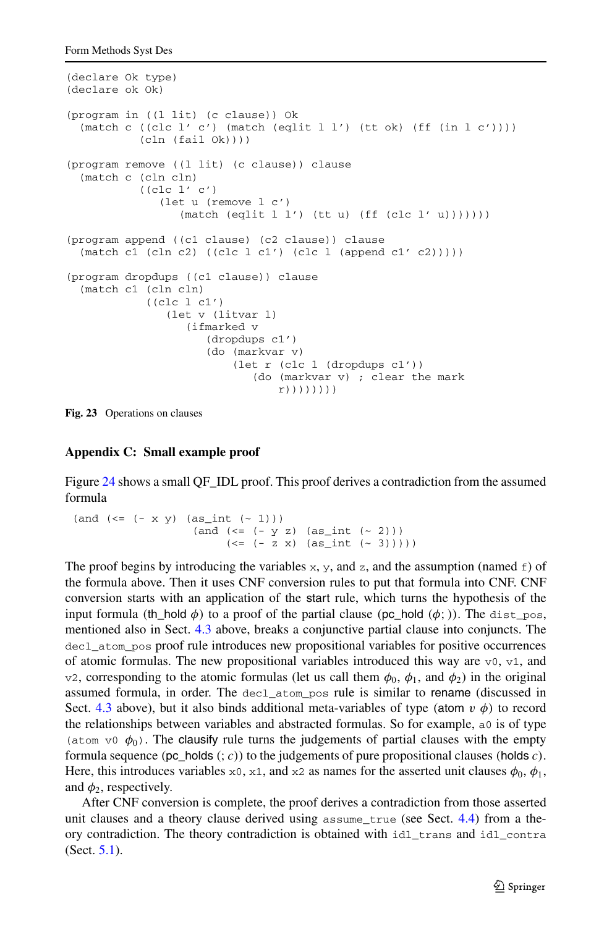```
(declare Ok type)
(declare ok Ok)
(program in ((l lit) (c clause)) Ok
  (match c ((clc l' c') (match (eqlit l l') (tt ok) (ff (in l c'))))
           (cln (fail 0k)))(program remove ((l lit) (c clause)) clause
  (match c (cln cln)
           ((clc l' c')
              (let u (remove l c')
                 (\text{match } (eqlit 1 1') (\text{tt } u) (ff (clc 1' u))))))(program append ((c1 clause) (c2 clause)) clause
  (\text{match c1 (cln c2) ((clc l c1') (clc l (append c1' c2))))})(program dropdups ((c1 clause)) clause
  (match c1 (cln cln)
            ((clc l c1')
               (let v (litvar l)
                   (ifmarked v
                      (dropdups c1')
                      (do (markvar v)
                          (let r (clc l (dropdups c1'))
                             (do (markvar v) ; clear the mark
                                 r))))))))
```
<span id="page-24-0"></span>**Fig. 23** Operations on clauses

## **Appendix C: Small example proof**

Figure [24](#page-25-7) shows a small QF\_IDL proof. This proof derives a contradiction from the assumed formula

```
(and (< = (- x y) (as(int (< -1))))(and (= - y z) (as_{int} (- 2)))(<= (-z x) (as int (- 3)))))
```
The proof begins by introducing the variables  $x$ ,  $y$ , and  $z$ , and the assumption (named  $\epsilon$ ) of the formula above. Then it uses CNF conversion rules to put that formula into CNF. CNF conversion starts with an application of the start rule, which turns the hypothesis of the input formula *(*th\_hold  $\phi$ ) to a proof of the partial clause *(*pc\_hold  $(\phi;$ )). The dist\_pos, mentioned also in Sect. [4.3](#page-12-0) above, breaks a conjunctive partial clause into conjuncts. The decl\_atom\_pos proof rule introduces new propositional variables for positive occurrences of atomic formulas. The new propositional variables introduced this way are  $v_0$ ,  $v_1$ , and v2, corresponding to the atomic formulas (let us call them *φ*0, *φ*1, and *φ*2) in the original assumed formula, in order. The decl\_atom\_pos rule is similar to rename (discussed in Sect. [4.3](#page-12-0) above), but it also binds additional meta-variables of type *(atom*  $v \phi$ *)* to record the relationships between variables and abstracted formulas. So for example, a0 is of type (atom v0  $\phi_0$ ). The clausify rule turns the judgements of partial clauses with the empty formula sequence *(*pc\_holds *(*; *c))* to the judgements of pure propositional clauses *(*holds *c)*. Here, this introduces variables  $x_0$ ,  $x_1$ , and  $x_2$  as names for the asserted unit clauses  $\phi_0$ ,  $\phi_1$ , and  $\phi_2$ , respectively.

After CNF conversion is complete, the proof derives a contradiction from those asserted unit clauses and a theory clause derived using assume\_true (see Sect. [4.4](#page-13-3)) from a theory contradiction. The theory contradiction is obtained with idl\_trans and idl\_contra (Sect. [5.1\)](#page-14-2).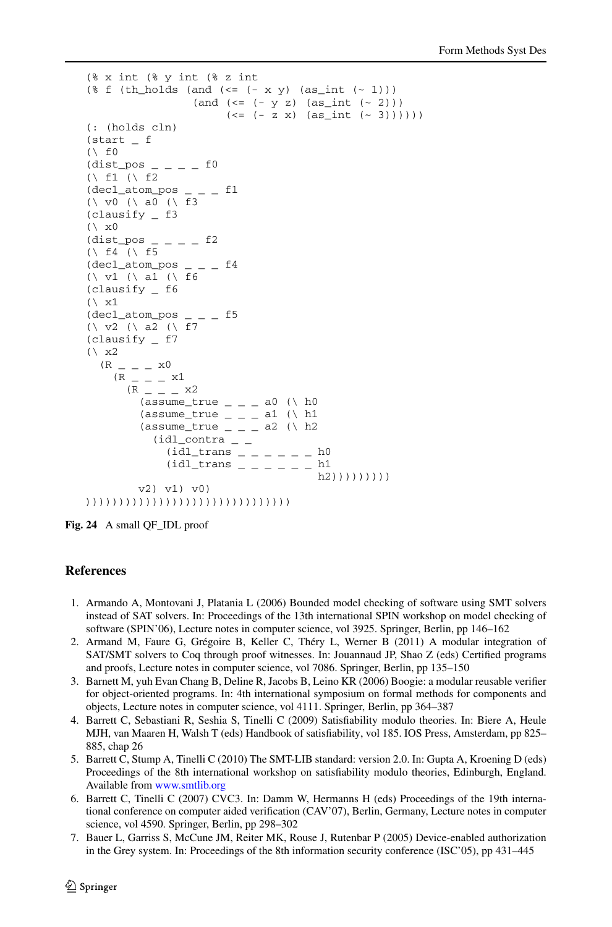```
(% x int (% y int (% z int
(\frac{1}{6} f (th holds (and (\leq (- x y) (as int (\sim 1)))
                     (and (< = (-y z) (as int (< 2))))(<= (-z x) (as int (< 3))))))
(: (holds cln)
(start _ f
(\wedge f0
(dist_pos - - -  f0
(\wedge f1 (\wedge f2
(decl_atom_pos _ _ _ f1
(\ v0 (\ a0 (\ f3
(clausify _ f3
(\lambda x0)(dist_pos \_ - \_ - \_ f2)(\wedge f4 (\wedge f5
(decl_atom_pos _ _ _ f4
(\ v1 (\ a1 (\ f6
(clausify _ f6
(\lambda \times 1)(decl_atom_pos _ _ _ f5
(\; \vee \; \vee \; 2 \; (\; \vee \; a2 \; (\; \vee \; f7(clausify _ f7
(\lambda x^2)(R_{ - - - - x0}(R - - - x1)(R_{ - - - x2})(assume_true _ _ _ _ _ _ a0 (\ h0
          (assume\_true \_ = \_ a1 \ (\) h1(assume_true = = = = a2 (\ h2
             (idl\_contra<sub>-</sub>
                (idl_{trans} _{-} _{-} _{-} _{-} _{-} _{+} ^{h0}(idl_{trans} _{-} _{-} _{-} _{-} _{-} _{h1}h2)))))))))
          v2) v1) v0)
)))))))))))))))))))))))))))))))
```
<span id="page-25-7"></span><span id="page-25-4"></span><span id="page-25-1"></span>**Fig. 24** A small QF\_IDL proof

## <span id="page-25-6"></span><span id="page-25-0"></span>**References**

- 1. Armando A, Montovani J, Platania L (2006) Bounded model checking of software using SMT solvers instead of SAT solvers. In: Proceedings of the 13th international SPIN workshop on model checking of software (SPIN'06), Lecture notes in computer science, vol 3925. Springer, Berlin, pp 146–162
- <span id="page-25-3"></span>2. Armand M, Faure G, Grégoire B, Keller C, Théry L, Werner B (2011) A modular integration of SAT/SMT solvers to Coq through proof witnesses. In: Jouannaud JP, Shao Z (eds) Certified programs and proofs, Lecture notes in computer science, vol 7086. Springer, Berlin, pp 135–150
- <span id="page-25-2"></span>3. Barnett M, yuh Evan Chang B, Deline R, Jacobs B, Leino KR (2006) Boogie: a modular reusable verifier for object-oriented programs. In: 4th international symposium on formal methods for components and objects, Lecture notes in computer science, vol 4111. Springer, Berlin, pp 364–387
- <span id="page-25-5"></span>4. Barrett C, Sebastiani R, Seshia S, Tinelli C (2009) Satisfiability modulo theories. In: Biere A, Heule MJH, van Maaren H, Walsh T (eds) Handbook of satisfiability, vol 185. IOS Press, Amsterdam, pp 825– 885, chap 26
- 5. Barrett C, Stump A, Tinelli C (2010) The SMT-LIB standard: version 2.0. In: Gupta A, Kroening D (eds) Proceedings of the 8th international workshop on satisfiability modulo theories, Edinburgh, England. Available from [www.smtlib.org](http://www.smtlib.org)
- 6. Barrett C, Tinelli C (2007) CVC3. In: Damm W, Hermanns H (eds) Proceedings of the 19th international conference on computer aided verification (CAV'07), Berlin, Germany, Lecture notes in computer science, vol 4590. Springer, Berlin, pp 298–302
- 7. Bauer L, Garriss S, McCune JM, Reiter MK, Rouse J, Rutenbar P (2005) Device-enabled authorization in the Grey system. In: Proceedings of the 8th information security conference (ISC'05), pp 431–445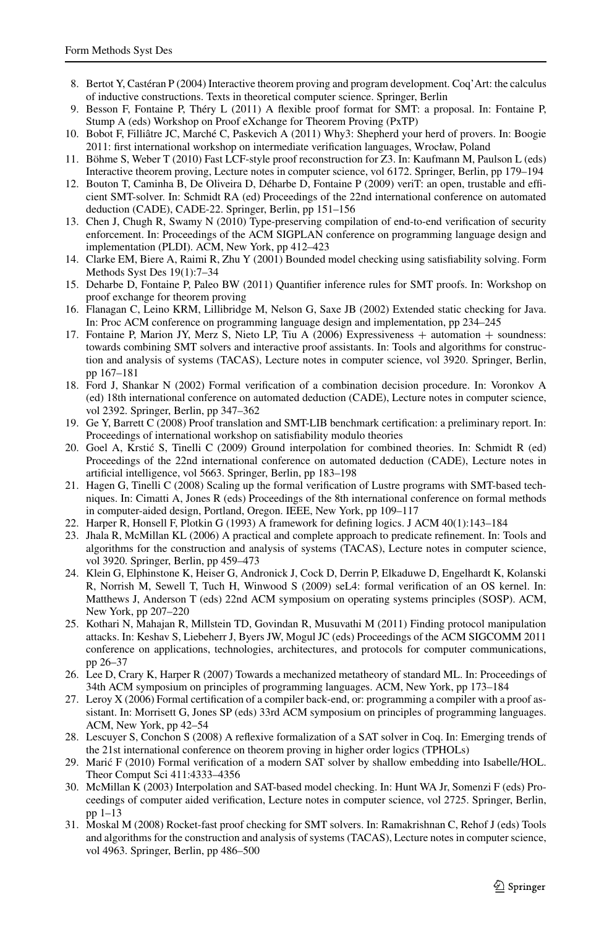- <span id="page-26-18"></span><span id="page-26-15"></span><span id="page-26-11"></span><span id="page-26-10"></span><span id="page-26-4"></span>8. Bertot Y, Castéran P (2004) Interactive theorem proving and program development. Coq'Art: the calculus of inductive constructions. Texts in theoretical computer science. Springer, Berlin
- <span id="page-26-12"></span>9. Besson F, Fontaine P, Théry L (2011) A flexible proof format for SMT: a proposal. In: Fontaine P, Stump A (eds) Workshop on Proof eXchange for Theorem Proving (PxTP)
- <span id="page-26-1"></span>10. Bobot F, Filliâtre JC, Marché C, Paskevich A (2011) Why3: Shepherd your herd of provers. In: Boogie 2011: first international workshop on intermediate verification languages, Wrocław, Poland
- <span id="page-26-13"></span>11. Böhme S, Weber T (2010) Fast LCF-style proof reconstruction for Z3. In: Kaufmann M, Paulson L (eds) Interactive theorem proving, Lecture notes in computer science, vol 6172. Springer, Berlin, pp 179–194
- <span id="page-26-0"></span>12. Bouton T, Caminha B, De Oliveira D, Déharbe D, Fontaine P (2009) veriT: an open, trustable and efficient SMT-solver. In: Schmidt RA (ed) Proceedings of the 22nd international conference on automated deduction (CADE), CADE-22. Springer, Berlin, pp 151–156
- <span id="page-26-17"></span>13. Chen J, Chugh R, Swamy N (2010) Type-preserving compilation of end-to-end verification of security enforcement. In: Proceedings of the ACM SIGPLAN conference on programming language design and implementation (PLDI). ACM, New York, pp 412–423
- <span id="page-26-7"></span>14. Clarke EM, Biere A, Raimi R, Zhu Y (2001) Bounded model checking using satisfiability solving. Form Methods Syst Des 19(1):7–34
- <span id="page-26-16"></span>15. Deharbe D, Fontaine P, Paleo BW (2011) Quantifier inference rules for SMT proofs. In: Workshop on proof exchange for theorem proving
- <span id="page-26-21"></span>16. Flanagan C, Leino KRM, Lillibridge M, Nelson G, Saxe JB (2002) Extended static checking for Java. In: Proc ACM conference on programming language design and implementation, pp 234–245
- <span id="page-26-2"></span>17. Fontaine P, Marion JY, Merz S, Nieto LP, Tiu A (2006) Expressiveness + automation + soundness: towards combining SMT solvers and interactive proof assistants. In: Tools and algorithms for construction and analysis of systems (TACAS), Lecture notes in computer science, vol 3920. Springer, Berlin, pp 167–181
- <span id="page-26-19"></span>18. Ford J, Shankar N (2002) Formal verification of a combination decision procedure. In: Voronkov A (ed) 18th international conference on automated deduction (CADE), Lecture notes in computer science, vol 2392. Springer, Berlin, pp 347–362
- <span id="page-26-23"></span>19. Ge Y, Barrett C (2008) Proof translation and SMT-LIB benchmark certification: a preliminary report. In: Proceedings of international workshop on satisfiability modulo theories
- <span id="page-26-5"></span>20. Goel A, Krstic S, Tinelli C (2009) Ground interpolation for combined theories. In: Schmidt R (ed) ´ Proceedings of the 22nd international conference on automated deduction (CADE), Lecture notes in artificial intelligence, vol 5663. Springer, Berlin, pp 183–198
- <span id="page-26-3"></span>21. Hagen G, Tinelli C (2008) Scaling up the formal verification of Lustre programs with SMT-based techniques. In: Cimatti A, Jones R (eds) Proceedings of the 8th international conference on formal methods in computer-aided design, Portland, Oregon. IEEE, New York, pp 109–117
- 22. Harper R, Honsell F, Plotkin G (1993) A framework for defining logics. J ACM 40(1):143–184
- <span id="page-26-20"></span>23. Jhala R, McMillan KL (2006) A practical and complete approach to predicate refinement. In: Tools and algorithms for the construction and analysis of systems (TACAS), Lecture notes in computer science, vol 3920. Springer, Berlin, pp 459–473
- <span id="page-26-6"></span>24. Klein G, Elphinstone K, Heiser G, Andronick J, Cock D, Derrin P, Elkaduwe D, Engelhardt K, Kolanski R, Norrish M, Sewell T, Tuch H, Winwood S (2009) seL4: formal verification of an OS kernel. In: Matthews J, Anderson T (eds) 22nd ACM symposium on operating systems principles (SOSP). ACM, New York, pp 207–220
- <span id="page-26-9"></span><span id="page-26-8"></span>25. Kothari N, Mahajan R, Millstein TD, Govindan R, Musuvathi M (2011) Finding protocol manipulation attacks. In: Keshav S, Liebeherr J, Byers JW, Mogul JC (eds) Proceedings of the ACM SIGCOMM 2011 conference on applications, technologies, architectures, and protocols for computer communications, pp 26–37
- <span id="page-26-22"></span>26. Lee D, Crary K, Harper R (2007) Towards a mechanized metatheory of standard ML. In: Proceedings of 34th ACM symposium on principles of programming languages. ACM, New York, pp 173–184
- <span id="page-26-14"></span>27. Leroy X (2006) Formal certification of a compiler back-end, or: programming a compiler with a proof assistant. In: Morrisett G, Jones SP (eds) 33rd ACM symposium on principles of programming languages. ACM, New York, pp 42–54
- 28. Lescuyer S, Conchon S (2008) A reflexive formalization of a SAT solver in Coq. In: Emerging trends of the 21st international conference on theorem proving in higher order logics (TPHOLs)
- 29. Maric F (2010) Formal verification of a modern SAT solver by shallow embedding into Isabelle/HOL. ´ Theor Comput Sci 411:4333–4356
- 30. McMillan K (2003) Interpolation and SAT-based model checking. In: Hunt WA Jr, Somenzi F (eds) Proceedings of computer aided verification, Lecture notes in computer science, vol 2725. Springer, Berlin, pp 1–13
- 31. Moskal M (2008) Rocket-fast proof checking for SMT solvers. In: Ramakrishnan C, Rehof J (eds) Tools and algorithms for the construction and analysis of systems (TACAS), Lecture notes in computer science, vol 4963. Springer, Berlin, pp 486–500